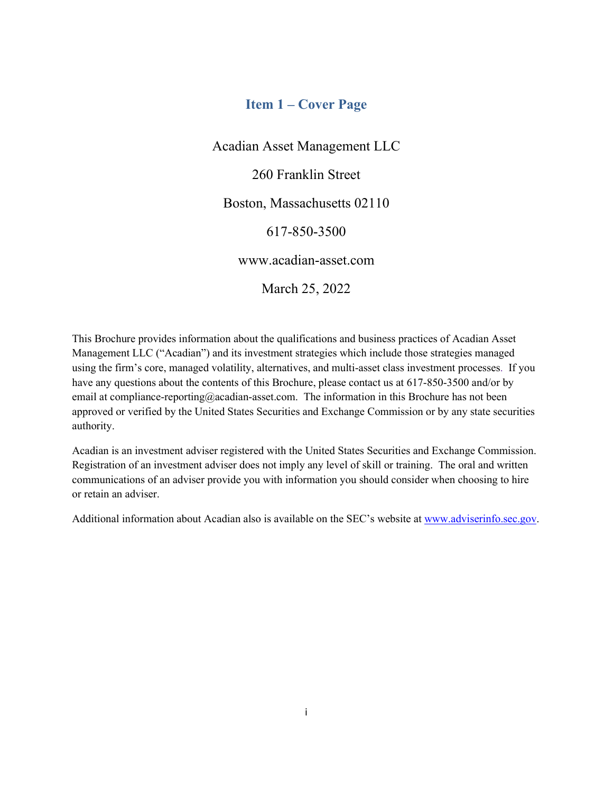## **Item 1 – Cover Page**

<span id="page-0-0"></span>Acadian Asset Management LLC 260 Franklin Street Boston, Massachusetts 02110 617-850-3500 www.acadian-asset.com

March 25, 2022

This Brochure provides information about the qualifications and business practices of Acadian Asset Management LLC ("Acadian") and its investment strategies which include those strategies managed using the firm's core, managed volatility, alternatives, and multi-asset class investment processes. If you have any questions about the contents of this Brochure, please contact us at 617-850-3500 and/or by email at compliance-reporting@acadian-asset.com. The information in this Brochure has not been approved or verified by the United States Securities and Exchange Commission or by any state securities authority.

Acadian is an investment adviser registered with the United States Securities and Exchange Commission. Registration of an investment adviser does not imply any level of skill or training. The oral and written communications of an adviser provide you with information you should consider when choosing to hire or retain an adviser.

Additional information about Acadian also is available on the SEC's website at [www.adviserinfo.sec.gov.](http://www.adviserinfo.sec.gov/)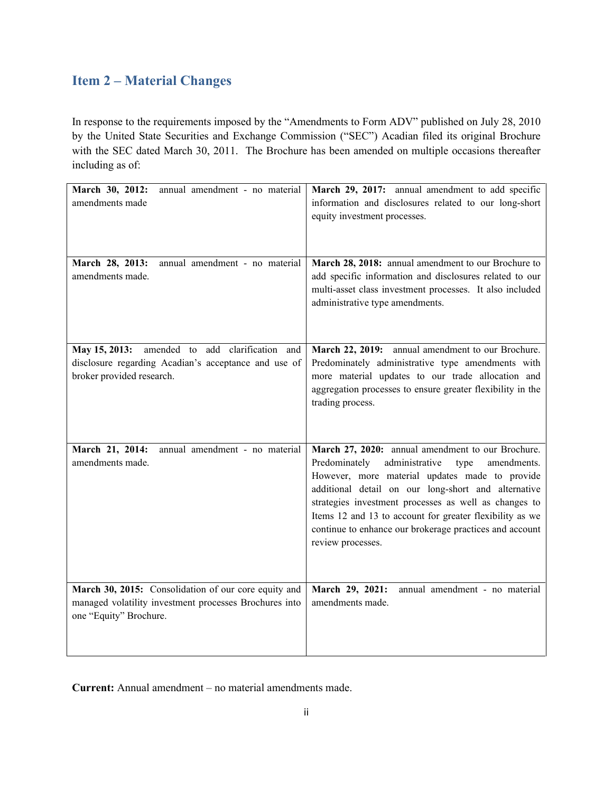# <span id="page-1-0"></span>**Item 2 – Material Changes**

In response to the requirements imposed by the "Amendments to Form ADV" published on July 28, 2010 by the United State Securities and Exchange Commission ("SEC") Acadian filed its original Brochure with the SEC dated March 30, 2011. The Brochure has been amended on multiple occasions thereafter including as of:

| March 30, 2012:<br>annual amendment - no material<br>amendments made                                                                     | March 29, 2017: annual amendment to add specific<br>information and disclosures related to our long-short<br>equity investment processes.                                                                                                                                                                                                                                                                                 |
|------------------------------------------------------------------------------------------------------------------------------------------|---------------------------------------------------------------------------------------------------------------------------------------------------------------------------------------------------------------------------------------------------------------------------------------------------------------------------------------------------------------------------------------------------------------------------|
| March 28, 2013:<br>annual amendment - no material<br>amendments made.                                                                    | March 28, 2018: annual amendment to our Brochure to<br>add specific information and disclosures related to our<br>multi-asset class investment processes. It also included<br>administrative type amendments.                                                                                                                                                                                                             |
| May 15, 2013:<br>amended to add clarification and<br>disclosure regarding Acadian's acceptance and use of<br>broker provided research.   | March 22, 2019: annual amendment to our Brochure.<br>Predominately administrative type amendments with<br>more material updates to our trade allocation and<br>aggregation processes to ensure greater flexibility in the<br>trading process.                                                                                                                                                                             |
| March 21, 2014:<br>annual amendment - no material<br>amendments made.                                                                    | March 27, 2020: annual amendment to our Brochure.<br>administrative<br>Predominately<br>amendments.<br>type<br>However, more material updates made to provide<br>additional detail on our long-short and alternative<br>strategies investment processes as well as changes to<br>Items 12 and 13 to account for greater flexibility as we<br>continue to enhance our brokerage practices and account<br>review processes. |
| March 30, 2015: Consolidation of our core equity and<br>managed volatility investment processes Brochures into<br>one "Equity" Brochure. | March 29, 2021:<br>annual amendment - no material<br>amendments made.                                                                                                                                                                                                                                                                                                                                                     |

**Current:** Annual amendment – no material amendments made.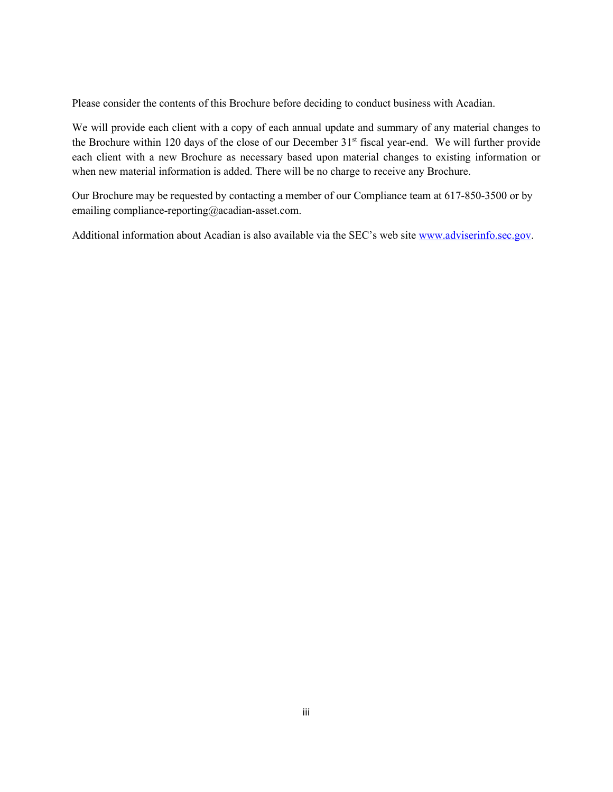Please consider the contents of this Brochure before deciding to conduct business with Acadian.

We will provide each client with a copy of each annual update and summary of any material changes to the Brochure within 120 days of the close of our December 31<sup>st</sup> fiscal year-end. We will further provide each client with a new Brochure as necessary based upon material changes to existing information or when new material information is added. There will be no charge to receive any Brochure.

Our Brochure may be requested by contacting a member of our Compliance team at 617-850-3500 or by emailing compliance-reporting@acadian-asset.com.

Additional information about Acadian is also available via the SEC's web site [www.adviserinfo.sec.gov.](http://www.adviserinfo.sec.gov/)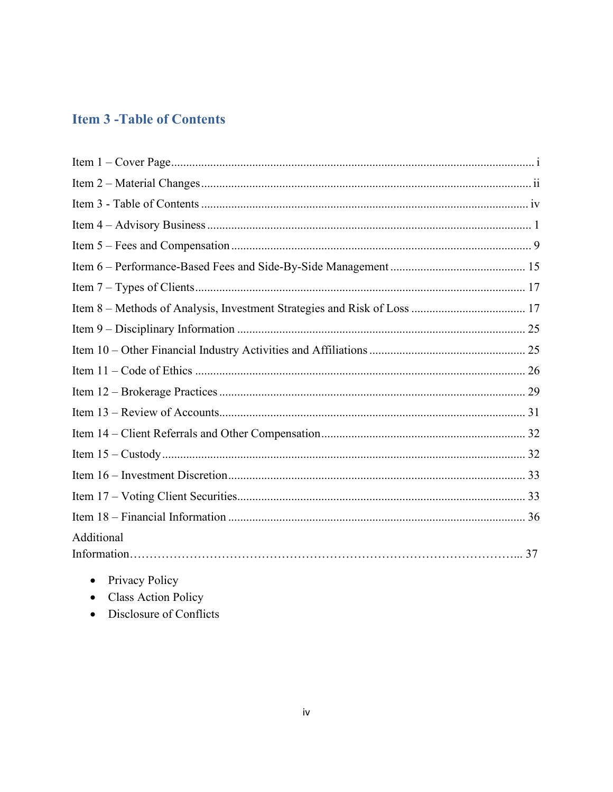# <span id="page-3-0"></span>**Item 3 - Table of Contents**

| Additional |  |
|------------|--|
|            |  |
|            |  |

- Privacy Policy
- Class Action Policy
- Disclosure of Conflicts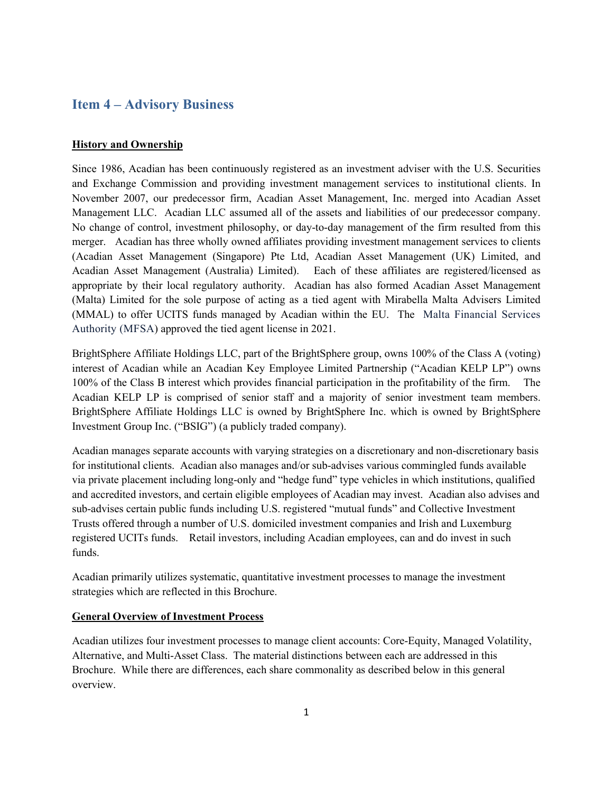## <span id="page-4-0"></span>**Item 4 – Advisory Business**

#### **History and Ownership**

Since 1986, Acadian has been continuously registered as an investment adviser with the U.S. Securities and Exchange Commission and providing investment management services to institutional clients. In November 2007, our predecessor firm, Acadian Asset Management, Inc. merged into Acadian Asset Management LLC. Acadian LLC assumed all of the assets and liabilities of our predecessor company. No change of control, investment philosophy, or day-to-day management of the firm resulted from this merger. Acadian has three wholly owned affiliates providing investment management services to clients (Acadian Asset Management (Singapore) Pte Ltd, Acadian Asset Management (UK) Limited, and Acadian Asset Management (Australia) Limited). Each of these affiliates are registered/licensed as appropriate by their local regulatory authority. Acadian has also formed Acadian Asset Management (Malta) Limited for the sole purpose of acting as a tied agent with Mirabella Malta Advisers Limited (MMAL) to offer UCITS funds managed by Acadian within the EU. The Malta Financial Services Authority (MFSA) approved the tied agent license in 2021.

BrightSphere Affiliate Holdings LLC, part of the BrightSphere group, owns 100% of the Class A (voting) interest of Acadian while an Acadian Key Employee Limited Partnership ("Acadian KELP LP") owns 100% of the Class B interest which provides financial participation in the profitability of the firm. The Acadian KELP LP is comprised of senior staff and a majority of senior investment team members. BrightSphere Affiliate Holdings LLC is owned by BrightSphere Inc. which is owned by BrightSphere Investment Group Inc. ("BSIG") (a publicly traded company).

Acadian manages separate accounts with varying strategies on a discretionary and non-discretionary basis for institutional clients. Acadian also manages and/or sub-advises various commingled funds available via private placement including long-only and "hedge fund" type vehicles in which institutions, qualified and accredited investors, and certain eligible employees of Acadian may invest. Acadian also advises and sub-advises certain public funds including U.S. registered "mutual funds" and Collective Investment Trusts offered through a number of U.S. domiciled investment companies and Irish and Luxemburg registered UCITs funds. Retail investors, including Acadian employees, can and do invest in such funds.

Acadian primarily utilizes systematic, quantitative investment processes to manage the investment strategies which are reflected in this Brochure.

### **General Overview of Investment Process**

Acadian utilizes four investment processes to manage client accounts: Core-Equity, Managed Volatility, Alternative, and Multi-Asset Class. The material distinctions between each are addressed in this Brochure. While there are differences, each share commonality as described below in this general overview.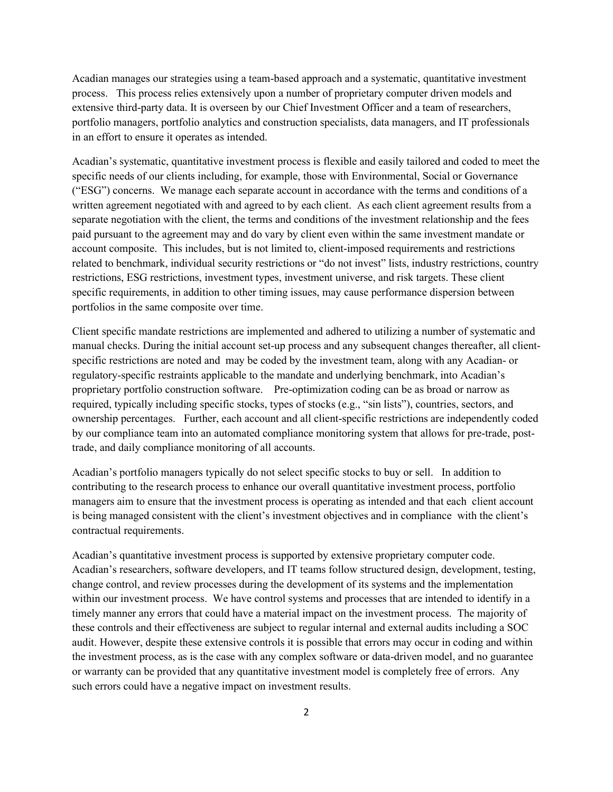Acadian manages our strategies using a team-based approach and a systematic, quantitative investment process. This process relies extensively upon a number of proprietary computer driven models and extensive third-party data. It is overseen by our Chief Investment Officer and a team of researchers, portfolio managers, portfolio analytics and construction specialists, data managers, and IT professionals in an effort to ensure it operates as intended.

Acadian's systematic, quantitative investment process is flexible and easily tailored and coded to meet the specific needs of our clients including, for example, those with Environmental, Social or Governance ("ESG") concerns. We manage each separate account in accordance with the terms and conditions of a written agreement negotiated with and agreed to by each client. As each client agreement results from a separate negotiation with the client, the terms and conditions of the investment relationship and the fees paid pursuant to the agreement may and do vary by client even within the same investment mandate or account composite. This includes, but is not limited to, client-imposed requirements and restrictions related to benchmark, individual security restrictions or "do not invest" lists, industry restrictions, country restrictions, ESG restrictions, investment types, investment universe, and risk targets. These client specific requirements, in addition to other timing issues, may cause performance dispersion between portfolios in the same composite over time.

Client specific mandate restrictions are implemented and adhered to utilizing a number of systematic and manual checks. During the initial account set-up process and any subsequent changes thereafter, all clientspecific restrictions are noted and may be coded by the investment team, along with any Acadian- or regulatory-specific restraints applicable to the mandate and underlying benchmark, into Acadian's proprietary portfolio construction software. Pre-optimization coding can be as broad or narrow as required, typically including specific stocks, types of stocks (e.g., "sin lists"), countries, sectors, and ownership percentages. Further, each account and all client-specific restrictions are independently coded by our compliance team into an automated compliance monitoring system that allows for pre-trade, posttrade, and daily compliance monitoring of all accounts.

Acadian's portfolio managers typically do not select specific stocks to buy or sell. In addition to contributing to the research process to enhance our overall quantitative investment process, portfolio managers aim to ensure that the investment process is operating as intended and that each client account is being managed consistent with the client's investment objectives and in compliance with the client's contractual requirements.

Acadian's quantitative investment process is supported by extensive proprietary computer code. Acadian's researchers, software developers, and IT teams follow structured design, development, testing, change control, and review processes during the development of its systems and the implementation within our investment process. We have control systems and processes that are intended to identify in a timely manner any errors that could have a material impact on the investment process. The majority of these controls and their effectiveness are subject to regular internal and external audits including a SOC audit. However, despite these extensive controls it is possible that errors may occur in coding and within the investment process, as is the case with any complex software or data-driven model, and no guarantee or warranty can be provided that any quantitative investment model is completely free of errors. Any such errors could have a negative impact on investment results.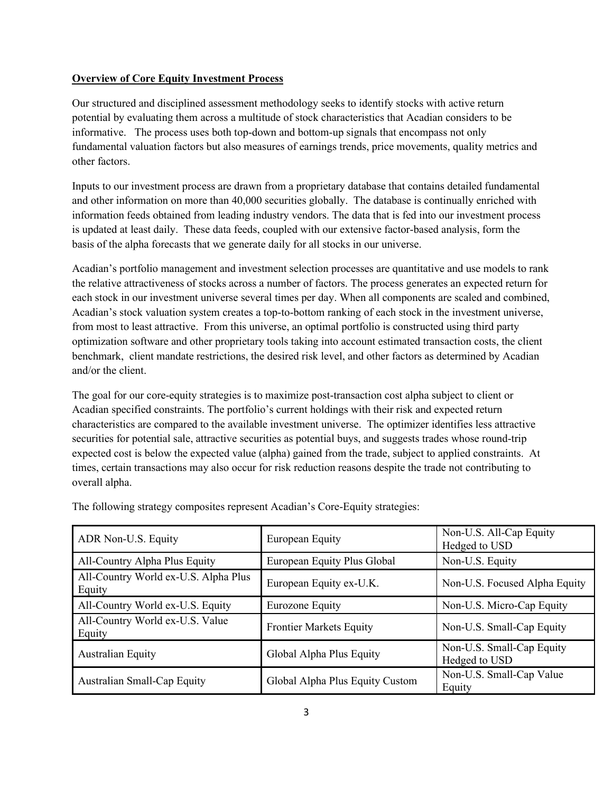### **Overview of Core Equity Investment Process**

Our structured and disciplined assessment methodology seeks to identify stocks with active return potential by evaluating them across a multitude of stock characteristics that Acadian considers to be informative. The process uses both top-down and bottom-up signals that encompass not only fundamental valuation factors but also measures of earnings trends, price movements, quality metrics and other factors.

Inputs to our investment process are drawn from a proprietary database that contains detailed fundamental and other information on more than 40,000 securities globally. The database is continually enriched with information feeds obtained from leading industry vendors. The data that is fed into our investment process is updated at least daily. These data feeds, coupled with our extensive factor-based analysis, form the basis of the alpha forecasts that we generate daily for all stocks in our universe.

Acadian's portfolio management and investment selection processes are quantitative and use models to rank the relative attractiveness of stocks across a number of factors. The process generates an expected return for each stock in our investment universe several times per day. When all components are scaled and combined, Acadian's stock valuation system creates a top-to-bottom ranking of each stock in the investment universe, from most to least attractive. From this universe, an optimal portfolio is constructed using third party optimization software and other proprietary tools taking into account estimated transaction costs, the client benchmark, client mandate restrictions, the desired risk level, and other factors as determined by Acadian and/or the client.

The goal for our core-equity strategies is to maximize post-transaction cost alpha subject to client or Acadian specified constraints. The portfolio's current holdings with their risk and expected return characteristics are compared to the available investment universe. The optimizer identifies less attractive securities for potential sale, attractive securities as potential buys, and suggests trades whose round-trip expected cost is below the expected value (alpha) gained from the trade, subject to applied constraints. At times, certain transactions may also occur for risk reduction reasons despite the trade not contributing to overall alpha.

| ADR Non-U.S. Equity                            | European Equity                 | Non-U.S. All-Cap Equity<br>Hedged to USD   |
|------------------------------------------------|---------------------------------|--------------------------------------------|
| All-Country Alpha Plus Equity                  | European Equity Plus Global     | Non-U.S. Equity                            |
| All-Country World ex-U.S. Alpha Plus<br>Equity | European Equity ex-U.K.         | Non-U.S. Focused Alpha Equity              |
| All-Country World ex-U.S. Equity               | Eurozone Equity                 | Non-U.S. Micro-Cap Equity                  |
| All-Country World ex-U.S. Value<br>Equity      | <b>Frontier Markets Equity</b>  | Non-U.S. Small-Cap Equity                  |
| <b>Australian Equity</b>                       | Global Alpha Plus Equity        | Non-U.S. Small-Cap Equity<br>Hedged to USD |
| Australian Small-Cap Equity                    | Global Alpha Plus Equity Custom | Non-U.S. Small-Cap Value<br>Equity         |

The following strategy composites represent Acadian's Core-Equity strategies: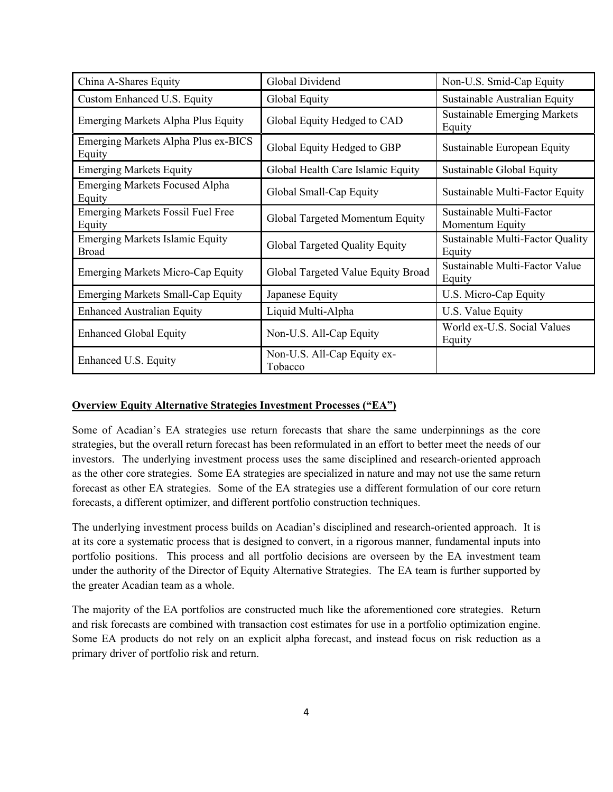| China A-Shares Equity                                  | Global Dividend                        | Non-U.S. Smid-Cap Equity                      |
|--------------------------------------------------------|----------------------------------------|-----------------------------------------------|
| Custom Enhanced U.S. Equity                            | Global Equity                          | Sustainable Australian Equity                 |
| Emerging Markets Alpha Plus Equity                     | Global Equity Hedged to CAD            | <b>Sustainable Emerging Markets</b><br>Equity |
| Emerging Markets Alpha Plus ex-BICS<br>Equity          | Global Equity Hedged to GBP            | Sustainable European Equity                   |
| <b>Emerging Markets Equity</b>                         | Global Health Care Islamic Equity      | Sustainable Global Equity                     |
| <b>Emerging Markets Focused Alpha</b><br>Equity        | Global Small-Cap Equity                | Sustainable Multi-Factor Equity               |
| <b>Emerging Markets Fossil Fuel Free</b><br>Equity     | Global Targeted Momentum Equity        | Sustainable Multi-Factor<br>Momentum Equity   |
| <b>Emerging Markets Islamic Equity</b><br><b>Broad</b> | Global Targeted Quality Equity         | Sustainable Multi-Factor Quality<br>Equity    |
| <b>Emerging Markets Micro-Cap Equity</b>               | Global Targeted Value Equity Broad     | Sustainable Multi-Factor Value<br>Equity      |
| <b>Emerging Markets Small-Cap Equity</b>               | Japanese Equity                        | U.S. Micro-Cap Equity                         |
| <b>Enhanced Australian Equity</b>                      | Liquid Multi-Alpha                     | U.S. Value Equity                             |
| <b>Enhanced Global Equity</b>                          | Non-U.S. All-Cap Equity                | World ex-U.S. Social Values<br>Equity         |
| Enhanced U.S. Equity                                   | Non-U.S. All-Cap Equity ex-<br>Tobacco |                                               |

### **Overview Equity Alternative Strategies Investment Processes ("EA")**

Some of Acadian's EA strategies use return forecasts that share the same underpinnings as the core strategies, but the overall return forecast has been reformulated in an effort to better meet the needs of our investors. The underlying investment process uses the same disciplined and research-oriented approach as the other core strategies. Some EA strategies are specialized in nature and may not use the same return forecast as other EA strategies. Some of the EA strategies use a different formulation of our core return forecasts, a different optimizer, and different portfolio construction techniques.

The underlying investment process builds on Acadian's disciplined and research-oriented approach. It is at its core a systematic process that is designed to convert, in a rigorous manner, fundamental inputs into portfolio positions. This process and all portfolio decisions are overseen by the EA investment team under the authority of the Director of Equity Alternative Strategies. The EA team is further supported by the greater Acadian team as a whole.

The majority of the EA portfolios are constructed much like the aforementioned core strategies. Return and risk forecasts are combined with transaction cost estimates for use in a portfolio optimization engine. Some EA products do not rely on an explicit alpha forecast, and instead focus on risk reduction as a primary driver of portfolio risk and return.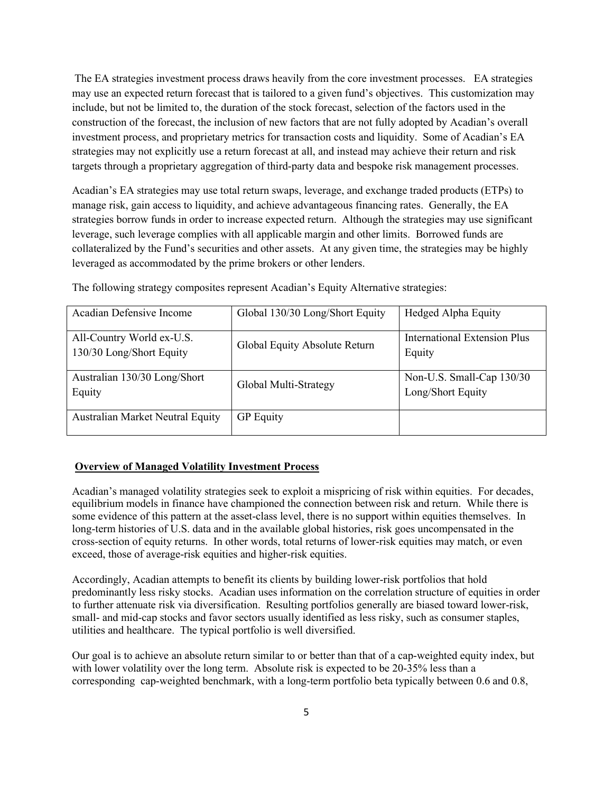The EA strategies investment process draws heavily from the core investment processes. EA strategies may use an expected return forecast that is tailored to a given fund's objectives. This customization may include, but not be limited to, the duration of the stock forecast, selection of the factors used in the construction of the forecast, the inclusion of new factors that are not fully adopted by Acadian's overall investment process, and proprietary metrics for transaction costs and liquidity. Some of Acadian's EA strategies may not explicitly use a return forecast at all, and instead may achieve their return and risk targets through a proprietary aggregation of third-party data and bespoke risk management processes.

Acadian's EA strategies may use total return swaps, leverage, and exchange traded products (ETPs) to manage risk, gain access to liquidity, and achieve advantageous financing rates. Generally, the EA strategies borrow funds in order to increase expected return. Although the strategies may use significant leverage, such leverage complies with all applicable margin and other limits. Borrowed funds are collateralized by the Fund's securities and other assets. At any given time, the strategies may be highly leveraged as accommodated by the prime brokers or other lenders.

| Acadian Defensive Income                              | Global 130/30 Long/Short Equity | Hedged Alpha Equity                            |
|-------------------------------------------------------|---------------------------------|------------------------------------------------|
| All-Country World ex-U.S.<br>130/30 Long/Short Equity | Global Equity Absolute Return   | International Extension Plus<br>Equity         |
| Australian 130/30 Long/Short<br>Equity                | Global Multi-Strategy           | Non-U.S. Small-Cap 130/30<br>Long/Short Equity |
| <b>Australian Market Neutral Equity</b>               | <b>GP</b> Equity                |                                                |

The following strategy composites represent Acadian's Equity Alternative strategies:

### **Overview of Managed Volatility Investment Process**

Acadian's managed volatility strategies seek to exploit a mispricing of risk within equities. For decades, equilibrium models in finance have championed the connection between risk and return. While there is some evidence of this pattern at the asset-class level, there is no support within equities themselves. In long-term histories of U.S. data and in the available global histories, risk goes uncompensated in the cross-section of equity returns. In other words, total returns of lower-risk equities may match, or even exceed, those of average-risk equities and higher-risk equities.

Accordingly, Acadian attempts to benefit its clients by building lower-risk portfolios that hold predominantly less risky stocks. Acadian uses information on the correlation structure of equities in order to further attenuate risk via diversification. Resulting portfolios generally are biased toward lower-risk, small- and mid-cap stocks and favor sectors usually identified as less risky, such as consumer staples, utilities and healthcare. The typical portfolio is well diversified.

Our goal is to achieve an absolute return similar to or better than that of a cap-weighted equity index, but with lower volatility over the long term. Absolute risk is expected to be 20-35% less than a corresponding cap-weighted benchmark, with a long-term portfolio beta typically between 0.6 and 0.8,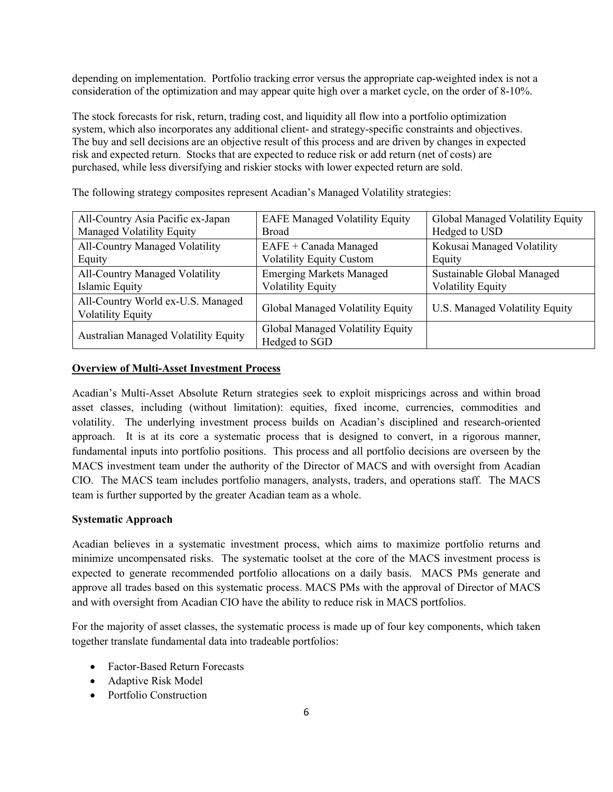depending on implementation. Portfolio tracking error versus the appropriate cap-weighted index is not a consideration of the optimization and may appear quite high over a market cycle, on the order of 8-10%.

The stock forecasts for risk, return, trading cost, and liquidity all flow into a portfolio optimization system, which also incorporates any additional client- and strategy-specific constraints and objectives. The buy and sell decisions are an objective result of this process and are driven by changes in expected risk and expected return. Stocks that are expected to reduce risk or add return (net of costs) are purchased, while less diversifying and riskier stocks with lower expected return are sold.

| All-Country Asia Pacific ex-Japan                             | <b>EAFE Managed Volatility Equity</b>             | Global Managed Volatility Equity |
|---------------------------------------------------------------|---------------------------------------------------|----------------------------------|
| Managed Volatility Equity                                     | <b>Broad</b>                                      | Hedged to USD                    |
| All-Country Managed Volatility                                | EAFE + Canada Managed                             | Kokusai Managed Volatility       |
| Equity                                                        | <b>Volatility Equity Custom</b>                   | Equity                           |
| All-Country Managed Volatility                                | <b>Emerging Markets Managed</b>                   | Sustainable Global Managed       |
| Islamic Equity                                                | <b>Volatility Equity</b>                          | <b>Volatility Equity</b>         |
| All-Country World ex-U.S. Managed<br><b>Volatility Equity</b> | Global Managed Volatility Equity                  | U.S. Managed Volatility Equity   |
| Australian Managed Volatility Equity                          | Global Managed Volatility Equity<br>Hedged to SGD |                                  |

The following strategy composites represent Acadian's Managed Volatility strategies:

### **Overview of Multi-Asset Investment Process**

Acadian's Multi-Asset Absolute Return strategies seek to exploit mispricings across and within broad asset classes, including (without limitation): equities, fixed income, currencies, commodities and volatility. The underlying investment process builds on Acadian's disciplined and research-oriented approach. It is at its core a systematic process that is designed to convert, in a rigorous manner, fundamental inputs into portfolio positions. This process and all portfolio decisions are overseen by the MACS investment team under the authority of the Director of MACS and with oversight from Acadian CIO. The MACS team includes portfolio managers, analysts, traders, and operations staff. The MACS team is further supported by the greater Acadian team as a whole.

### **Systematic Approach**

Acadian believes in a systematic investment process, which aims to maximize portfolio returns and minimize uncompensated risks. The systematic toolset at the core of the MACS investment process is expected to generate recommended portfolio allocations on a daily basis. MACS PMs generate and approve all trades based on this systematic process. MACS PMs with the approval of Director of MACS and with oversight from Acadian CIO have the ability to reduce risk in MACS portfolios.

For the majority of asset classes, the systematic process is made up of four key components, which taken together translate fundamental data into tradeable portfolios:

- Factor-Based Return Forecasts
- Adaptive Risk Model
- Portfolio Construction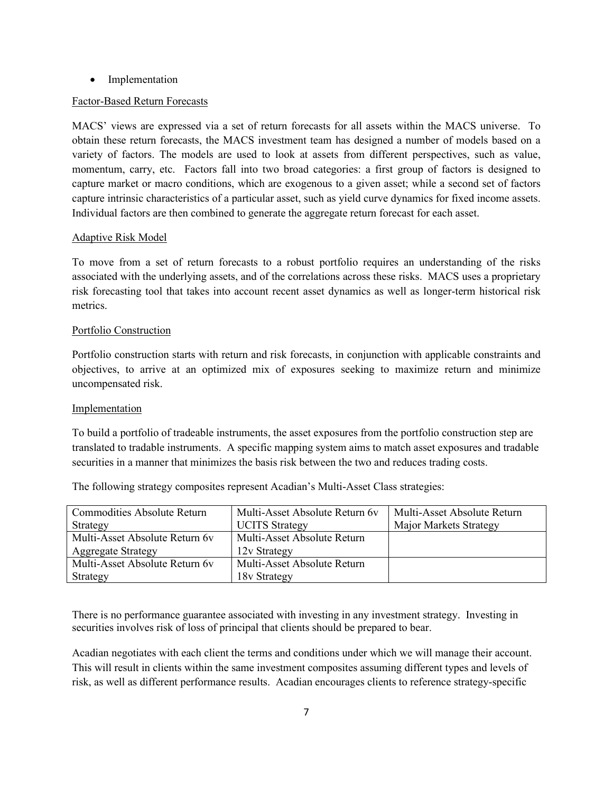• Implementation

### Factor-Based Return Forecasts

MACS' views are expressed via a set of return forecasts for all assets within the MACS universe. To obtain these return forecasts, the MACS investment team has designed a number of models based on a variety of factors. The models are used to look at assets from different perspectives, such as value, momentum, carry, etc. Factors fall into two broad categories: a first group of factors is designed to capture market or macro conditions, which are exogenous to a given asset; while a second set of factors capture intrinsic characteristics of a particular asset, such as yield curve dynamics for fixed income assets. Individual factors are then combined to generate the aggregate return forecast for each asset.

### Adaptive Risk Model

To move from a set of return forecasts to a robust portfolio requires an understanding of the risks associated with the underlying assets, and of the correlations across these risks. MACS uses a proprietary risk forecasting tool that takes into account recent asset dynamics as well as longer-term historical risk metrics.

### Portfolio Construction

Portfolio construction starts with return and risk forecasts, in conjunction with applicable constraints and objectives, to arrive at an optimized mix of exposures seeking to maximize return and minimize uncompensated risk.

### Implementation

To build a portfolio of tradeable instruments, the asset exposures from the portfolio construction step are translated to tradable instruments. A specific mapping system aims to match asset exposures and tradable securities in a manner that minimizes the basis risk between the two and reduces trading costs.

The following strategy composites represent Acadian's Multi-Asset Class strategies:

| Commodities Absolute Return    | Multi-Asset Absolute Return 6v | Multi-Asset Absolute Return |
|--------------------------------|--------------------------------|-----------------------------|
| Strategy                       | <b>UCITS Strategy</b>          | Major Markets Strategy      |
| Multi-Asset Absolute Return 6y | Multi-Asset Absolute Return    |                             |
| <b>Aggregate Strategy</b>      | 12v Strategy                   |                             |
| Multi-Asset Absolute Return 6y | Multi-Asset Absolute Return    |                             |
| Strategy                       | 18v Strategy                   |                             |

There is no performance guarantee associated with investing in any investment strategy. Investing in securities involves risk of loss of principal that clients should be prepared to bear.

Acadian negotiates with each client the terms and conditions under which we will manage their account. This will result in clients within the same investment composites assuming different types and levels of risk, as well as different performance results. Acadian encourages clients to reference strategy-specific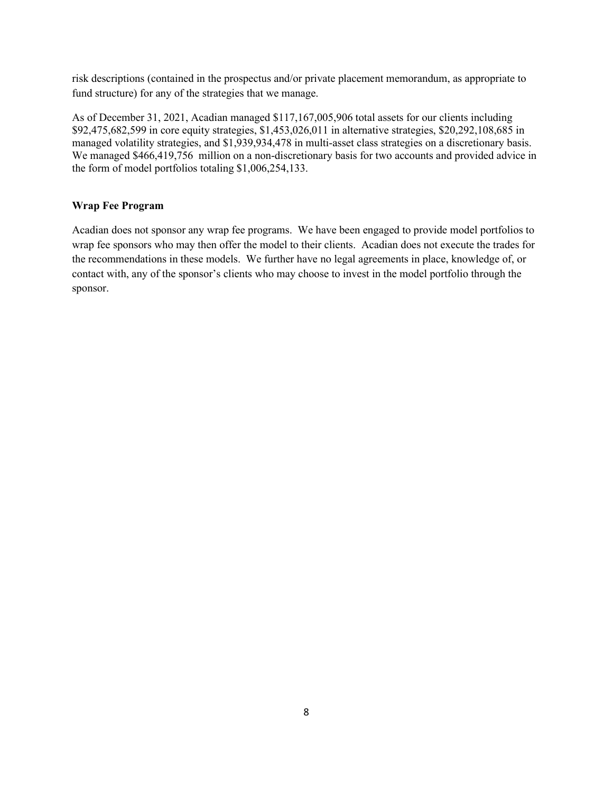risk descriptions (contained in the prospectus and/or private placement memorandum, as appropriate to fund structure) for any of the strategies that we manage.

As of December 31, 2021, Acadian managed \$117,167,005,906 total assets for our clients including \$92,475,682,599 in core equity strategies, \$1,453,026,011 in alternative strategies, \$20,292,108,685 in managed volatility strategies, and \$1,939,934,478 in multi-asset class strategies on a discretionary basis. We managed \$466,419,756 million on a non-discretionary basis for two accounts and provided advice in the form of model portfolios totaling \$1,006,254,133.

#### **Wrap Fee Program**

Acadian does not sponsor any wrap fee programs. We have been engaged to provide model portfolios to wrap fee sponsors who may then offer the model to their clients. Acadian does not execute the trades for the recommendations in these models. We further have no legal agreements in place, knowledge of, or contact with, any of the sponsor's clients who may choose to invest in the model portfolio through the sponsor.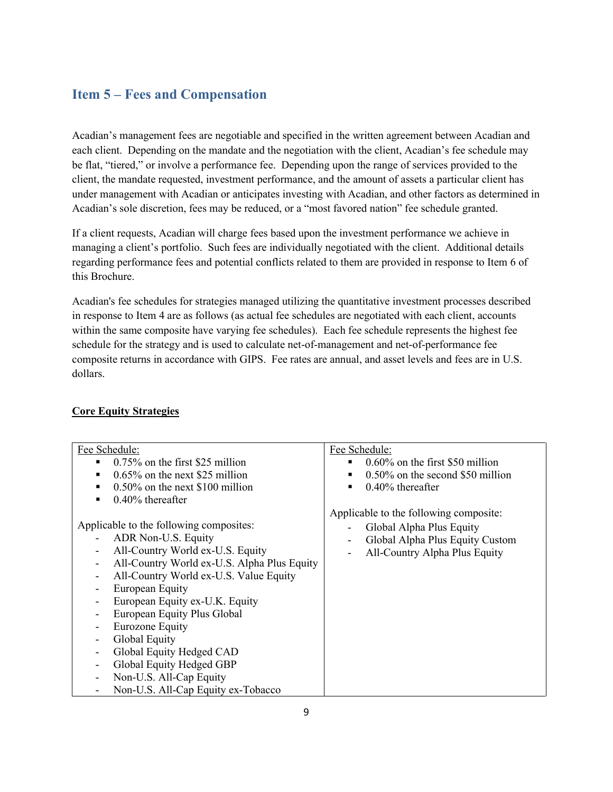## <span id="page-12-0"></span>**Item 5 – Fees and Compensation**

Acadian's management fees are negotiable and specified in the written agreement between Acadian and each client. Depending on the mandate and the negotiation with the client, Acadian's fee schedule may be flat, "tiered," or involve a performance fee. Depending upon the range of services provided to the client, the mandate requested, investment performance, and the amount of assets a particular client has under management with Acadian or anticipates investing with Acadian, and other factors as determined in Acadian's sole discretion, fees may be reduced, or a "most favored nation" fee schedule granted.

If a client requests, Acadian will charge fees based upon the investment performance we achieve in managing a client's portfolio. Such fees are individually negotiated with the client. Additional details regarding performance fees and potential conflicts related to them are provided in response to Item 6 of this Brochure.

Acadian's fee schedules for strategies managed utilizing the quantitative investment processes described in response to Item 4 are as follows (as actual fee schedules are negotiated with each client, accounts within the same composite have varying fee schedules). Each fee schedule represents the highest fee schedule for the strategy and is used to calculate net-of-management and net-of-performance fee composite returns in accordance with GIPS. Fee rates are annual, and asset levels and fees are in U.S. dollars.

### **Core Equity Strategies**

| Fee Schedule:                                                           | Fee Schedule:                           |
|-------------------------------------------------------------------------|-----------------------------------------|
| $0.75\%$ on the first \$25 million                                      | $0.60\%$ on the first \$50 million<br>٠ |
| $0.65\%$ on the next \$25 million<br>$\blacksquare$                     | 0.50% on the second \$50 million<br>٠   |
| $0.50\%$ on the next \$100 million<br>$\blacksquare$                    | $0.40\%$ thereafter<br>٠                |
| $0.40\%$ thereafter<br>$\blacksquare$                                   |                                         |
|                                                                         | Applicable to the following composite:  |
| Applicable to the following composites:                                 | Global Alpha Plus Equity                |
| ADR Non-U.S. Equity                                                     | Global Alpha Plus Equity Custom         |
| All-Country World ex-U.S. Equity<br>$\overline{\phantom{0}}$            | All-Country Alpha Plus Equity           |
| All-Country World ex-U.S. Alpha Plus Equity<br>$\overline{\phantom{a}}$ |                                         |
| All-Country World ex-U.S. Value Equity<br>-                             |                                         |
| European Equity                                                         |                                         |
| European Equity ex-U.K. Equity                                          |                                         |
| European Equity Plus Global                                             |                                         |
| Eurozone Equity                                                         |                                         |
| Global Equity<br>-                                                      |                                         |
| Global Equity Hedged CAD<br>Ξ.                                          |                                         |
| Global Equity Hedged GBP                                                |                                         |
| Non-U.S. All-Cap Equity                                                 |                                         |
| Non-U.S. All-Cap Equity ex-Tobacco                                      |                                         |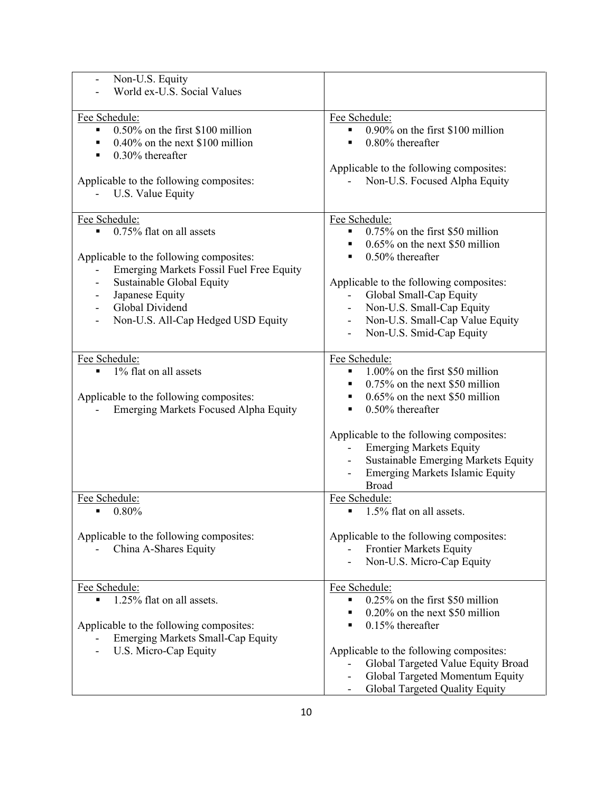| Non-U.S. Equity                                       |                                                    |
|-------------------------------------------------------|----------------------------------------------------|
| World ex-U.S. Social Values                           |                                                    |
|                                                       |                                                    |
| Fee Schedule:                                         | Fee Schedule:                                      |
| $0.50\%$ on the first \$100 million<br>$\blacksquare$ | 0.90% on the first \$100 million<br>$\blacksquare$ |
| $0.40\%$ on the next \$100 million                    | $0.80\%$ thereafter                                |
| $0.30\%$ thereafter                                   |                                                    |
|                                                       |                                                    |
|                                                       | Applicable to the following composites:            |
| Applicable to the following composites:               | Non-U.S. Focused Alpha Equity                      |
| U.S. Value Equity                                     |                                                    |
|                                                       |                                                    |
| Fee Schedule:                                         | Fee Schedule:                                      |
| 0.75% flat on all assets                              | 0.75% on the first \$50 million                    |
|                                                       | $0.65\%$ on the next \$50 million                  |
| Applicable to the following composites:               | $0.50\%$ thereafter                                |
| Emerging Markets Fossil Fuel Free Equity              |                                                    |
| Sustainable Global Equity                             | Applicable to the following composites:            |
| Japanese Equity<br>$\qquad \qquad \blacksquare$       | Global Small-Cap Equity                            |
| Global Dividend<br>$\overline{\phantom{a}}$           | Non-U.S. Small-Cap Equity<br>$\sim$                |
| Non-U.S. All-Cap Hedged USD Equity                    | Non-U.S. Small-Cap Value Equity                    |
|                                                       | Non-U.S. Smid-Cap Equity                           |
|                                                       |                                                    |
| Fee Schedule:                                         | Fee Schedule:                                      |
| 1% flat on all assets                                 | 1.00% on the first \$50 million                    |
|                                                       | $0.75\%$ on the next \$50 million                  |
|                                                       |                                                    |
| Applicable to the following composites:               | $0.65\%$ on the next \$50 million<br>п             |
| <b>Emerging Markets Focused Alpha Equity</b>          | $0.50\%$ thereafter                                |
|                                                       |                                                    |
|                                                       | Applicable to the following composites:            |
|                                                       | <b>Emerging Markets Equity</b>                     |
|                                                       | Sustainable Emerging Markets Equity                |
|                                                       | <b>Emerging Markets Islamic Equity</b>             |
|                                                       | <b>Broad</b>                                       |
| Fee Schedule:                                         | Fee Schedule:                                      |
| 0.80%<br>$\blacksquare$                               | 1.5% flat on all assets.<br>٠                      |
|                                                       |                                                    |
| Applicable to the following composites:               | Applicable to the following composites:            |
| China A-Shares Equity                                 | <b>Frontier Markets Equity</b>                     |
|                                                       | Non-U.S. Micro-Cap Equity                          |
|                                                       |                                                    |
| Fee Schedule:                                         | Fee Schedule:                                      |
| 1.25% flat on all assets.                             | 0.25% on the first \$50 million                    |
|                                                       | 0.20% on the next \$50 million                     |
| Applicable to the following composites:               | $0.15%$ thereafter                                 |
| <b>Emerging Markets Small-Cap Equity</b>              |                                                    |
| U.S. Micro-Cap Equity                                 | Applicable to the following composites:            |
|                                                       | Global Targeted Value Equity Broad                 |
|                                                       |                                                    |
|                                                       | Global Targeted Momentum Equity                    |
|                                                       | Global Targeted Quality Equity                     |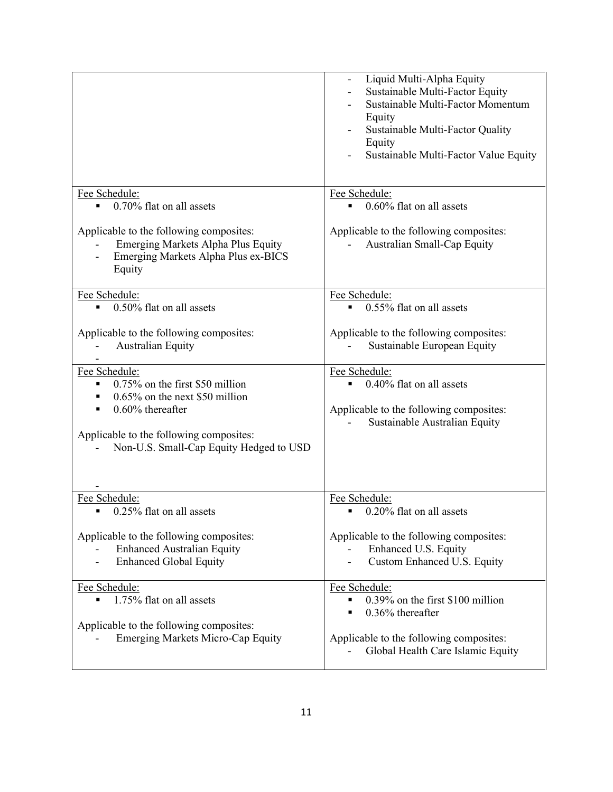| Liquid Multi-Alpha Equity<br>Sustainable Multi-Factor Equity<br>Sustainable Multi-Factor Momentum<br>Equity<br>Sustainable Multi-Factor Quality<br>Equity<br>Sustainable Multi-Factor Value Equity |
|----------------------------------------------------------------------------------------------------------------------------------------------------------------------------------------------------|
| Fee Schedule:<br>$0.60\%$ flat on all assets                                                                                                                                                       |
| Applicable to the following composites:<br>Australian Small-Cap Equity                                                                                                                             |
| Fee Schedule:<br>0.55% flat on all assets<br>$\blacksquare$                                                                                                                                        |
| Applicable to the following composites:<br>Sustainable European Equity                                                                                                                             |
| Fee Schedule:<br>0.40% flat on all assets<br>Applicable to the following composites:<br>Sustainable Australian Equity                                                                              |
| Fee Schedule:                                                                                                                                                                                      |
| 0.20% flat on all assets                                                                                                                                                                           |
| Applicable to the following composites:<br>Enhanced U.S. Equity<br>Custom Enhanced U.S. Equity                                                                                                     |
| Fee Schedule:<br>0.39% on the first \$100 million<br>0.36% thereafter<br>Applicable to the following composites:<br>Global Health Care Islamic Equity                                              |
|                                                                                                                                                                                                    |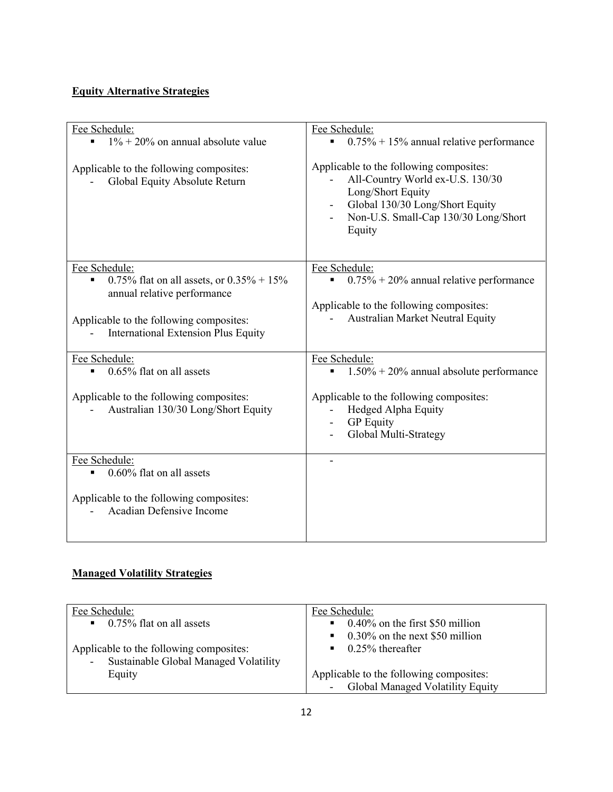## **Equity Alternative Strategies**

| Fee Schedule:<br>$1\% + 20\%$ on annual absolute value<br>Applicable to the following composites:<br>Global Equity Absolute Return                                                                      | Fee Schedule:<br>$0.75\% + 15\%$ annual relative performance<br>Applicable to the following composites:<br>All-Country World ex-U.S. 130/30<br>Long/Short Equity<br>Global 130/30 Long/Short Equity<br>$\overline{\phantom{0}}$<br>Non-U.S. Small-Cap 130/30 Long/Short<br>Equity |
|---------------------------------------------------------------------------------------------------------------------------------------------------------------------------------------------------------|-----------------------------------------------------------------------------------------------------------------------------------------------------------------------------------------------------------------------------------------------------------------------------------|
| Fee Schedule:<br>0.75% flat on all assets, or $0.35\% + 15\%$<br>$\blacksquare$<br>annual relative performance<br>Applicable to the following composites:<br><b>International Extension Plus Equity</b> | Fee Schedule:<br>$0.75\% + 20\%$ annual relative performance<br>$\blacksquare$<br>Applicable to the following composites:<br><b>Australian Market Neutral Equity</b>                                                                                                              |
| Fee Schedule:<br>0.65% flat on all assets<br>$\blacksquare$<br>Applicable to the following composites:<br>Australian 130/30 Long/Short Equity                                                           | Fee Schedule:<br>$1.50\% + 20\%$ annual absolute performance<br>$\blacksquare$<br>Applicable to the following composites:<br>Hedged Alpha Equity<br><b>GP</b> Equity<br>$\frac{1}{2}$<br>Global Multi-Strategy                                                                    |
| Fee Schedule:<br>0.60% flat on all assets<br>Applicable to the following composites:<br><b>Acadian Defensive Income</b>                                                                                 |                                                                                                                                                                                                                                                                                   |

## **Managed Volatility Strategies**

| Fee Schedule:<br>$\blacksquare$ 0.75% flat on all assets                         | Fee Schedule:<br>$0.40\%$ on the first \$50 million<br>$\mathbf{E}^{\text{max}}$                        |
|----------------------------------------------------------------------------------|---------------------------------------------------------------------------------------------------------|
| Applicable to the following composites:<br>Sustainable Global Managed Volatility | $\bullet$ 0.30% on the next \$50 million<br>$\blacksquare$ 0.25% thereafter                             |
| Equity                                                                           | Applicable to the following composites:<br>Global Managed Volatility Equity<br>$\overline{\phantom{a}}$ |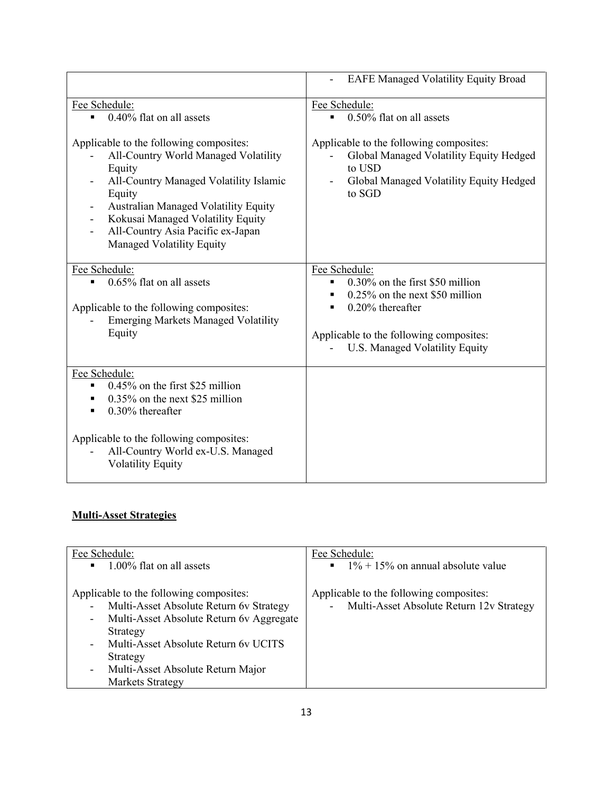|                                                                                                                                                                                                                                                                                                                                                                | <b>EAFE Managed Volatility Equity Broad</b>                                                                                                                                                                                                     |
|----------------------------------------------------------------------------------------------------------------------------------------------------------------------------------------------------------------------------------------------------------------------------------------------------------------------------------------------------------------|-------------------------------------------------------------------------------------------------------------------------------------------------------------------------------------------------------------------------------------------------|
| Fee Schedule:<br>$0.40\%$ flat on all assets<br>$\blacksquare$<br>Applicable to the following composites:<br>All-Country World Managed Volatility<br>Equity<br>All-Country Managed Volatility Islamic<br>Equity<br>Australian Managed Volatility Equity<br>Kokusai Managed Volatility Equity<br>All-Country Asia Pacific ex-Japan<br>Managed Volatility Equity | Fee Schedule:<br>0.50% flat on all assets<br>$\blacksquare$<br>Applicable to the following composites:<br>Global Managed Volatility Equity Hedged<br>to USD<br>Global Managed Volatility Equity Hedged<br>to SGD                                |
| Fee Schedule:<br>0.65% flat on all assets<br>Applicable to the following composites:<br><b>Emerging Markets Managed Volatility</b><br>Equity                                                                                                                                                                                                                   | Fee Schedule:<br>0.30% on the first \$50 million<br>$\blacksquare$<br>$0.25\%$ on the next \$50 million<br>$\blacksquare$<br>$0.20\%$ thereafter<br>$\blacksquare$<br>Applicable to the following composites:<br>U.S. Managed Volatility Equity |
| Fee Schedule:<br>$0.45\%$ on the first \$25 million<br>$0.35\%$ on the next \$25 million<br>$\blacksquare$<br>$0.30\%$ thereafter<br>$\blacksquare$<br>Applicable to the following composites:<br>All-Country World ex-U.S. Managed<br><b>Volatility Equity</b>                                                                                                |                                                                                                                                                                                                                                                 |

## **Multi-Asset Strategies**

| Fee Schedule:<br>1.00% flat on all assets<br>$\blacksquare$                                                                                                                                                                                             | Fee Schedule:<br>$\blacksquare$ 1% + 15% on annual absolute value                         |
|---------------------------------------------------------------------------------------------------------------------------------------------------------------------------------------------------------------------------------------------------------|-------------------------------------------------------------------------------------------|
| Applicable to the following composites:<br>Multi-Asset Absolute Return 6v Strategy<br>Multi-Asset Absolute Return 6v Aggregate<br>Strategy<br>Multi-Asset Absolute Return 6v UCITS<br>Strategy<br>Multi-Asset Absolute Return Major<br>Markets Strategy | Applicable to the following composites:<br>Multi-Asset Absolute Return 12v Strategy<br>÷. |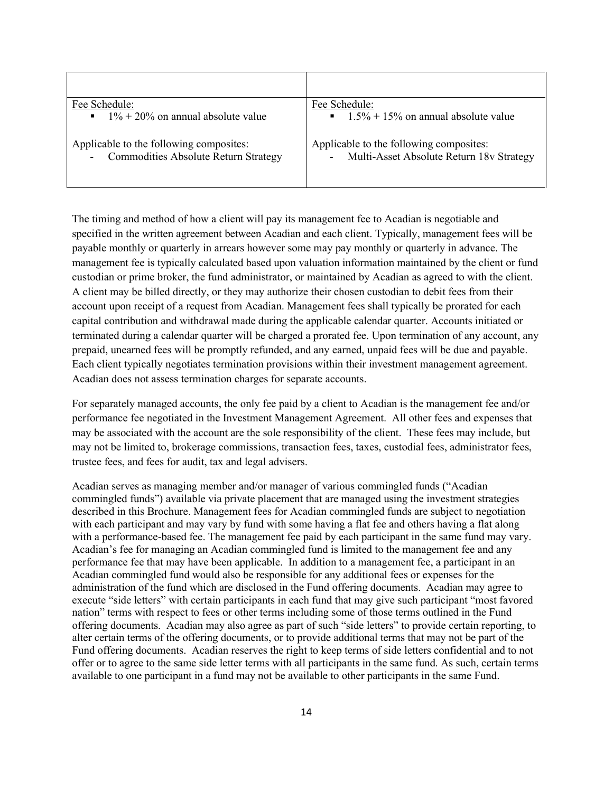| Fee Schedule:                                                                          | Fee Schedule:                                                                       |
|----------------------------------------------------------------------------------------|-------------------------------------------------------------------------------------|
| $1\% + 20\%$ on annual absolute value                                                  | $\blacksquare$ 1.5% + 15% on annual absolute value                                  |
| Applicable to the following composites:<br><b>Commodities Absolute Return Strategy</b> | Applicable to the following composites:<br>Multi-Asset Absolute Return 18v Strategy |

The timing and method of how a client will pay its management fee to Acadian is negotiable and specified in the written agreement between Acadian and each client. Typically, management fees will be payable monthly or quarterly in arrears however some may pay monthly or quarterly in advance. The management fee is typically calculated based upon valuation information maintained by the client or fund custodian or prime broker, the fund administrator, or maintained by Acadian as agreed to with the client. A client may be billed directly, or they may authorize their chosen custodian to debit fees from their account upon receipt of a request from Acadian. Management fees shall typically be prorated for each capital contribution and withdrawal made during the applicable calendar quarter. Accounts initiated or terminated during a calendar quarter will be charged a prorated fee. Upon termination of any account, any prepaid, unearned fees will be promptly refunded, and any earned, unpaid fees will be due and payable. Each client typically negotiates termination provisions within their investment management agreement. Acadian does not assess termination charges for separate accounts.

For separately managed accounts, the only fee paid by a client to Acadian is the management fee and/or performance fee negotiated in the Investment Management Agreement. All other fees and expenses that may be associated with the account are the sole responsibility of the client. These fees may include, but may not be limited to, brokerage commissions, transaction fees, taxes, custodial fees, administrator fees, trustee fees, and fees for audit, tax and legal advisers.

Acadian serves as managing member and/or manager of various commingled funds ("Acadian commingled funds") available via private placement that are managed using the investment strategies described in this Brochure. Management fees for Acadian commingled funds are subject to negotiation with each participant and may vary by fund with some having a flat fee and others having a flat along with a performance-based fee. The management fee paid by each participant in the same fund may vary. Acadian's fee for managing an Acadian commingled fund is limited to the management fee and any performance fee that may have been applicable. In addition to a management fee, a participant in an Acadian commingled fund would also be responsible for any additional fees or expenses for the administration of the fund which are disclosed in the Fund offering documents. Acadian may agree to execute "side letters" with certain participants in each fund that may give such participant "most favored nation" terms with respect to fees or other terms including some of those terms outlined in the Fund offering documents. Acadian may also agree as part of such "side letters" to provide certain reporting, to alter certain terms of the offering documents, or to provide additional terms that may not be part of the Fund offering documents. Acadian reserves the right to keep terms of side letters confidential and to not offer or to agree to the same side letter terms with all participants in the same fund. As such, certain terms available to one participant in a fund may not be available to other participants in the same Fund.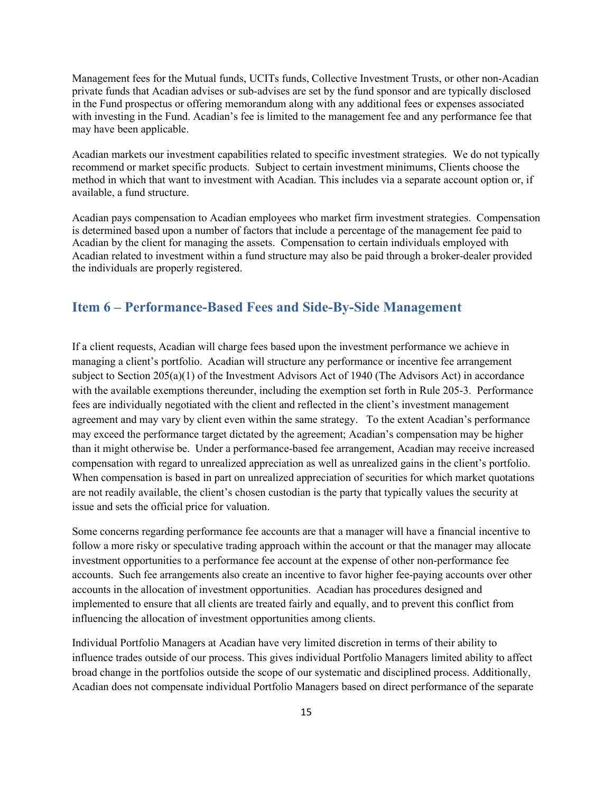Management fees for the Mutual funds, UCITs funds, Collective Investment Trusts, or other non-Acadian private funds that Acadian advises or sub-advises are set by the fund sponsor and are typically disclosed in the Fund prospectus or offering memorandum along with any additional fees or expenses associated with investing in the Fund. Acadian's fee is limited to the management fee and any performance fee that may have been applicable.

Acadian markets our investment capabilities related to specific investment strategies. We do not typically recommend or market specific products. Subject to certain investment minimums, Clients choose the method in which that want to investment with Acadian. This includes via a separate account option or, if available, a fund structure.

Acadian pays compensation to Acadian employees who market firm investment strategies. Compensation is determined based upon a number of factors that include a percentage of the management fee paid to Acadian by the client for managing the assets. Compensation to certain individuals employed with Acadian related to investment within a fund structure may also be paid through a broker-dealer provided the individuals are properly registered.

## <span id="page-18-0"></span>**Item 6 – Performance-Based Fees and Side-By-Side Management**

If a client requests, Acadian will charge fees based upon the investment performance we achieve in managing a client's portfolio. Acadian will structure any performance or incentive fee arrangement subject to Section 205(a)(1) of the Investment Advisors Act of 1940 (The Advisors Act) in accordance with the available exemptions thereunder, including the exemption set forth in Rule 205-3. Performance fees are individually negotiated with the client and reflected in the client's investment management agreement and may vary by client even within the same strategy. To the extent Acadian's performance may exceed the performance target dictated by the agreement; Acadian's compensation may be higher than it might otherwise be. Under a performance-based fee arrangement, Acadian may receive increased compensation with regard to unrealized appreciation as well as unrealized gains in the client's portfolio. When compensation is based in part on unrealized appreciation of securities for which market quotations are not readily available, the client's chosen custodian is the party that typically values the security at issue and sets the official price for valuation.

Some concerns regarding performance fee accounts are that a manager will have a financial incentive to follow a more risky or speculative trading approach within the account or that the manager may allocate investment opportunities to a performance fee account at the expense of other non-performance fee accounts. Such fee arrangements also create an incentive to favor higher fee-paying accounts over other accounts in the allocation of investment opportunities. Acadian has procedures designed and implemented to ensure that all clients are treated fairly and equally, and to prevent this conflict from influencing the allocation of investment opportunities among clients.

Individual Portfolio Managers at Acadian have very limited discretion in terms of their ability to influence trades outside of our process. This gives individual Portfolio Managers limited ability to affect broad change in the portfolios outside the scope of our systematic and disciplined process. Additionally, Acadian does not compensate individual Portfolio Managers based on direct performance of the separate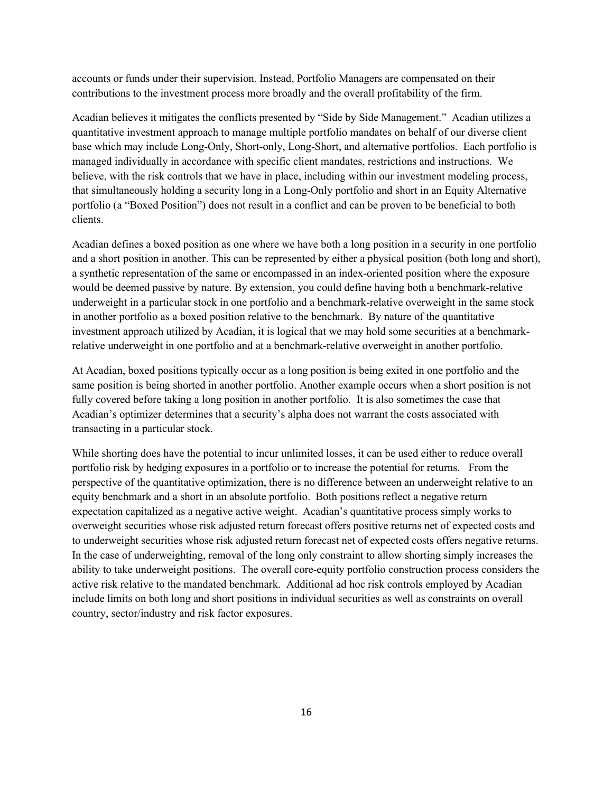accounts or funds under their supervision. Instead, Portfolio Managers are compensated on their contributions to the investment process more broadly and the overall profitability of the firm.

Acadian believes it mitigates the conflicts presented by "Side by Side Management." Acadian utilizes a quantitative investment approach to manage multiple portfolio mandates on behalf of our diverse client base which may include Long-Only, Short-only, Long-Short, and alternative portfolios. Each portfolio is managed individually in accordance with specific client mandates, restrictions and instructions. We believe, with the risk controls that we have in place, including within our investment modeling process, that simultaneously holding a security long in a Long-Only portfolio and short in an Equity Alternative portfolio (a "Boxed Position") does not result in a conflict and can be proven to be beneficial to both clients.

Acadian defines a boxed position as one where we have both a long position in a security in one portfolio and a short position in another. This can be represented by either a physical position (both long and short), a synthetic representation of the same or encompassed in an index-oriented position where the exposure would be deemed passive by nature. By extension, you could define having both a benchmark-relative underweight in a particular stock in one portfolio and a benchmark-relative overweight in the same stock in another portfolio as a boxed position relative to the benchmark. By nature of the quantitative investment approach utilized by Acadian, it is logical that we may hold some securities at a benchmarkrelative underweight in one portfolio and at a benchmark-relative overweight in another portfolio.

At Acadian, boxed positions typically occur as a long position is being exited in one portfolio and the same position is being shorted in another portfolio. Another example occurs when a short position is not fully covered before taking a long position in another portfolio. It is also sometimes the case that Acadian's optimizer determines that a security's alpha does not warrant the costs associated with transacting in a particular stock.

While shorting does have the potential to incur unlimited losses, it can be used either to reduce overall portfolio risk by hedging exposures in a portfolio or to increase the potential for returns. From the perspective of the quantitative optimization, there is no difference between an underweight relative to an equity benchmark and a short in an absolute portfolio. Both positions reflect a negative return expectation capitalized as a negative active weight. Acadian's quantitative process simply works to overweight securities whose risk adjusted return forecast offers positive returns net of expected costs and to underweight securities whose risk adjusted return forecast net of expected costs offers negative returns. In the case of underweighting, removal of the long only constraint to allow shorting simply increases the ability to take underweight positions. The overall core-equity portfolio construction process considers the active risk relative to the mandated benchmark. Additional ad hoc risk controls employed by Acadian include limits on both long and short positions in individual securities as well as constraints on overall country, sector/industry and risk factor exposures.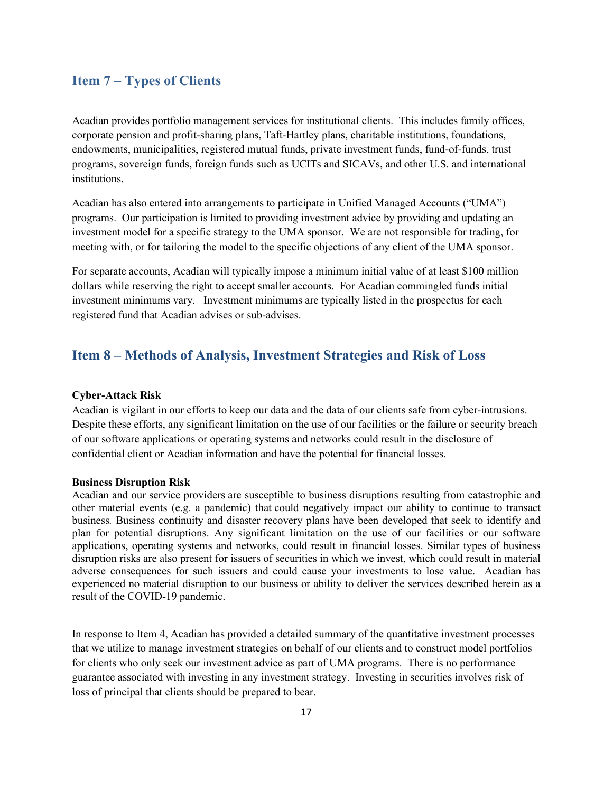## <span id="page-20-0"></span>**Item 7 – Types of Clients**

Acadian provides portfolio management services for institutional clients. This includes family offices, corporate pension and profit-sharing plans, Taft-Hartley plans, charitable institutions, foundations, endowments, municipalities, registered mutual funds, private investment funds, fund-of-funds, trust programs, sovereign funds, foreign funds such as UCITs and SICAVs, and other U.S. and international institutions.

Acadian has also entered into arrangements to participate in Unified Managed Accounts ("UMA") programs. Our participation is limited to providing investment advice by providing and updating an investment model for a specific strategy to the UMA sponsor. We are not responsible for trading, for meeting with, or for tailoring the model to the specific objections of any client of the UMA sponsor.

For separate accounts, Acadian will typically impose a minimum initial value of at least \$100 million dollars while reserving the right to accept smaller accounts. For Acadian commingled funds initial investment minimums vary. Investment minimums are typically listed in the prospectus for each registered fund that Acadian advises or sub-advises.

## <span id="page-20-1"></span>**Item 8 – Methods of Analysis, Investment Strategies and Risk of Loss**

#### **Cyber-Attack Risk**

Acadian is vigilant in our efforts to keep our data and the data of our clients safe from cyber-intrusions. Despite these efforts, any significant limitation on the use of our facilities or the failure or security breach of our software applications or operating systems and networks could result in the disclosure of confidential client or Acadian information and have the potential for financial losses.

#### **Business Disruption Risk**

Acadian and our service providers are susceptible to business disruptions resulting from catastrophic and other material events (e.g. a pandemic) that could negatively impact our ability to continue to transact business*.* Business continuity and disaster recovery plans have been developed that seek to identify and plan for potential disruptions. Any significant limitation on the use of our facilities or our software applications, operating systems and networks, could result in financial losses. Similar types of business disruption risks are also present for issuers of securities in which we invest, which could result in material adverse consequences for such issuers and could cause your investments to lose value. Acadian has experienced no material disruption to our business or ability to deliver the services described herein as a result of the COVID-19 pandemic.

In response to Item 4, Acadian has provided a detailed summary of the quantitative investment processes that we utilize to manage investment strategies on behalf of our clients and to construct model portfolios for clients who only seek our investment advice as part of UMA programs. There is no performance guarantee associated with investing in any investment strategy. Investing in securities involves risk of loss of principal that clients should be prepared to bear.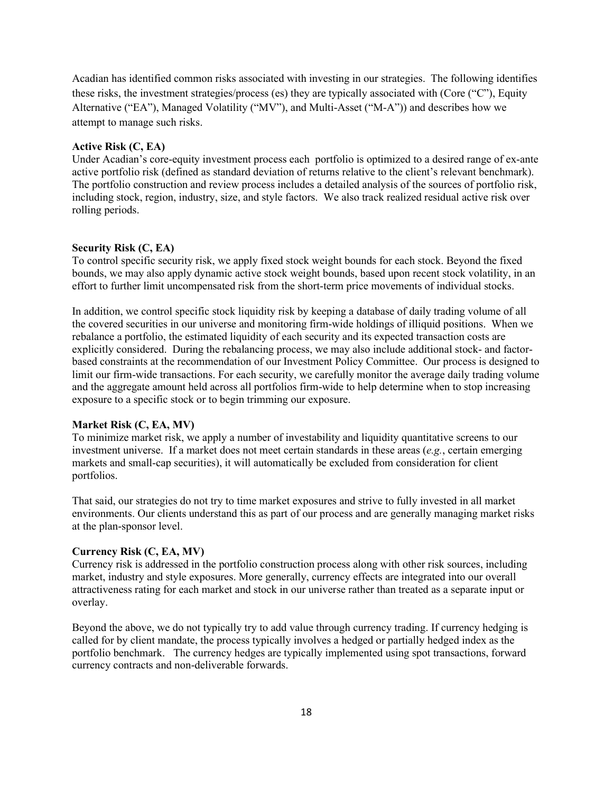Acadian has identified common risks associated with investing in our strategies. The following identifies these risks, the investment strategies/process (es) they are typically associated with (Core ("C"), Equity Alternative ("EA"), Managed Volatility ("MV"), and Multi-Asset ("M-A")) and describes how we attempt to manage such risks.

### **Active Risk (C, EA)**

Under Acadian's core-equity investment process each portfolio is optimized to a desired range of ex-ante active portfolio risk (defined as standard deviation of returns relative to the client's relevant benchmark). The portfolio construction and review process includes a detailed analysis of the sources of portfolio risk, including stock, region, industry, size, and style factors. We also track realized residual active risk over rolling periods.

#### **Security Risk (C, EA)**

To control specific security risk, we apply fixed stock weight bounds for each stock. Beyond the fixed bounds, we may also apply dynamic active stock weight bounds, based upon recent stock volatility, in an effort to further limit uncompensated risk from the short-term price movements of individual stocks.

In addition, we control specific stock liquidity risk by keeping a database of daily trading volume of all the covered securities in our universe and monitoring firm-wide holdings of illiquid positions. When we rebalance a portfolio, the estimated liquidity of each security and its expected transaction costs are explicitly considered. During the rebalancing process, we may also include additional stock- and factorbased constraints at the recommendation of our Investment Policy Committee. Our process is designed to limit our firm-wide transactions. For each security, we carefully monitor the average daily trading volume and the aggregate amount held across all portfolios firm-wide to help determine when to stop increasing exposure to a specific stock or to begin trimming our exposure.

#### **Market Risk (C, EA, MV)**

To minimize market risk, we apply a number of investability and liquidity quantitative screens to our investment universe. If a market does not meet certain standards in these areas (*e.g.*, certain emerging markets and small-cap securities), it will automatically be excluded from consideration for client portfolios.

That said, our strategies do not try to time market exposures and strive to fully invested in all market environments. Our clients understand this as part of our process and are generally managing market risks at the plan-sponsor level.

#### **Currency Risk (C, EA, MV)**

Currency risk is addressed in the portfolio construction process along with other risk sources, including market, industry and style exposures. More generally, currency effects are integrated into our overall attractiveness rating for each market and stock in our universe rather than treated as a separate input or overlay.

Beyond the above, we do not typically try to add value through currency trading. If currency hedging is called for by client mandate, the process typically involves a hedged or partially hedged index as the portfolio benchmark. The currency hedges are typically implemented using spot transactions, forward currency contracts and non-deliverable forwards.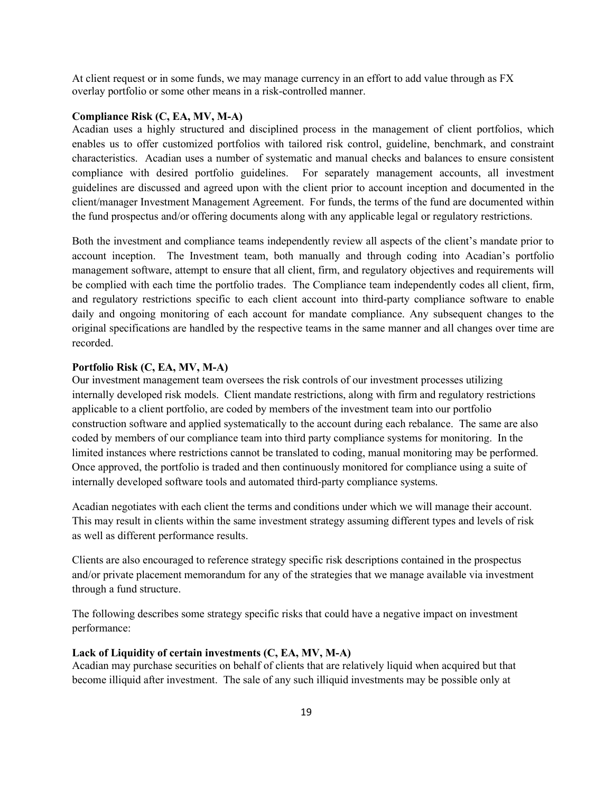At client request or in some funds, we may manage currency in an effort to add value through as FX overlay portfolio or some other means in a risk-controlled manner.

#### **Compliance Risk (C, EA, MV, M-A)**

Acadian uses a highly structured and disciplined process in the management of client portfolios, which enables us to offer customized portfolios with tailored risk control, guideline, benchmark, and constraint characteristics. Acadian uses a number of systematic and manual checks and balances to ensure consistent compliance with desired portfolio guidelines. For separately management accounts, all investment guidelines are discussed and agreed upon with the client prior to account inception and documented in the client/manager Investment Management Agreement. For funds, the terms of the fund are documented within the fund prospectus and/or offering documents along with any applicable legal or regulatory restrictions.

Both the investment and compliance teams independently review all aspects of the client's mandate prior to account inception. The Investment team, both manually and through coding into Acadian's portfolio management software, attempt to ensure that all client, firm, and regulatory objectives and requirements will be complied with each time the portfolio trades. The Compliance team independently codes all client, firm, and regulatory restrictions specific to each client account into third-party compliance software to enable daily and ongoing monitoring of each account for mandate compliance. Any subsequent changes to the original specifications are handled by the respective teams in the same manner and all changes over time are recorded.

#### **Portfolio Risk (C, EA, MV, M-A)**

Our investment management team oversees the risk controls of our investment processes utilizing internally developed risk models. Client mandate restrictions, along with firm and regulatory restrictions applicable to a client portfolio, are coded by members of the investment team into our portfolio construction software and applied systematically to the account during each rebalance. The same are also coded by members of our compliance team into third party compliance systems for monitoring. In the limited instances where restrictions cannot be translated to coding, manual monitoring may be performed. Once approved, the portfolio is traded and then continuously monitored for compliance using a suite of internally developed software tools and automated third-party compliance systems.

Acadian negotiates with each client the terms and conditions under which we will manage their account. This may result in clients within the same investment strategy assuming different types and levels of risk as well as different performance results.

Clients are also encouraged to reference strategy specific risk descriptions contained in the prospectus and/or private placement memorandum for any of the strategies that we manage available via investment through a fund structure.

The following describes some strategy specific risks that could have a negative impact on investment performance:

#### **Lack of Liquidity of certain investments (C, EA, MV, M-A)**

Acadian may purchase securities on behalf of clients that are relatively liquid when acquired but that become illiquid after investment. The sale of any such illiquid investments may be possible only at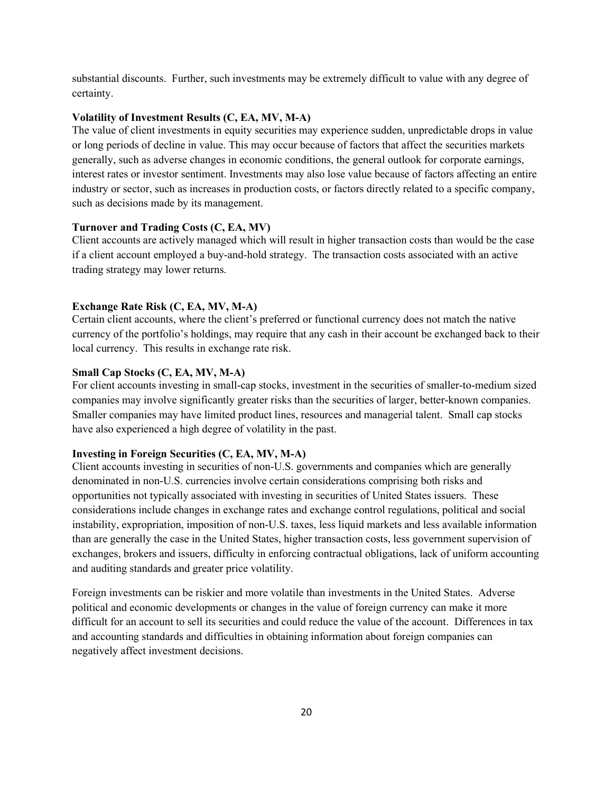substantial discounts. Further, such investments may be extremely difficult to value with any degree of certainty.

### **Volatility of Investment Results (C, EA, MV, M-A)**

The value of client investments in equity securities may experience sudden, unpredictable drops in value or long periods of decline in value. This may occur because of factors that affect the securities markets generally, such as adverse changes in economic conditions, the general outlook for corporate earnings, interest rates or investor sentiment. Investments may also lose value because of factors affecting an entire industry or sector, such as increases in production costs, or factors directly related to a specific company, such as decisions made by its management.

#### **Turnover and Trading Costs (C, EA, MV)**

Client accounts are actively managed which will result in higher transaction costs than would be the case if a client account employed a buy-and-hold strategy. The transaction costs associated with an active trading strategy may lower returns.

#### **Exchange Rate Risk (C, EA, MV, M-A)**

Certain client accounts, where the client's preferred or functional currency does not match the native currency of the portfolio's holdings, may require that any cash in their account be exchanged back to their local currency. This results in exchange rate risk.

#### **Small Cap Stocks (C, EA, MV, M-A)**

For client accounts investing in small-cap stocks, investment in the securities of smaller-to-medium sized companies may involve significantly greater risks than the securities of larger, better-known companies. Smaller companies may have limited product lines, resources and managerial talent. Small cap stocks have also experienced a high degree of volatility in the past.

#### **Investing in Foreign Securities (C, EA, MV, M-A)**

Client accounts investing in securities of non-U.S. governments and companies which are generally denominated in non-U.S. currencies involve certain considerations comprising both risks and opportunities not typically associated with investing in securities of United States issuers. These considerations include changes in exchange rates and exchange control regulations, political and social instability, expropriation, imposition of non-U.S. taxes, less liquid markets and less available information than are generally the case in the United States, higher transaction costs, less government supervision of exchanges, brokers and issuers, difficulty in enforcing contractual obligations, lack of uniform accounting and auditing standards and greater price volatility.

Foreign investments can be riskier and more volatile than investments in the United States. Adverse political and economic developments or changes in the value of foreign currency can make it more difficult for an account to sell its securities and could reduce the value of the account. Differences in tax and accounting standards and difficulties in obtaining information about foreign companies can negatively affect investment decisions.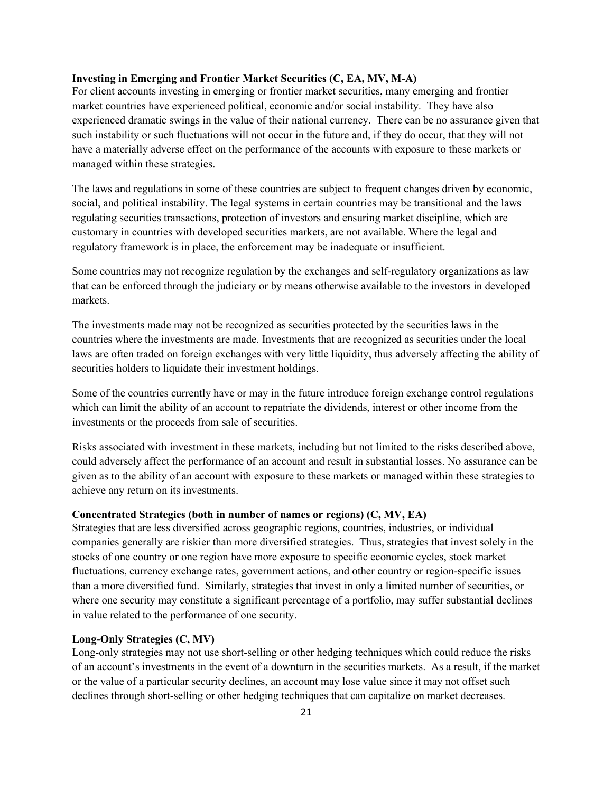### **Investing in Emerging and Frontier Market Securities (C, EA, MV, M-A)**

For client accounts investing in emerging or frontier market securities, many emerging and frontier market countries have experienced political, economic and/or social instability. They have also experienced dramatic swings in the value of their national currency. There can be no assurance given that such instability or such fluctuations will not occur in the future and, if they do occur, that they will not have a materially adverse effect on the performance of the accounts with exposure to these markets or managed within these strategies.

The laws and regulations in some of these countries are subject to frequent changes driven by economic, social, and political instability. The legal systems in certain countries may be transitional and the laws regulating securities transactions, protection of investors and ensuring market discipline, which are customary in countries with developed securities markets, are not available. Where the legal and regulatory framework is in place, the enforcement may be inadequate or insufficient.

Some countries may not recognize regulation by the exchanges and self-regulatory organizations as law that can be enforced through the judiciary or by means otherwise available to the investors in developed markets.

The investments made may not be recognized as securities protected by the securities laws in the countries where the investments are made. Investments that are recognized as securities under the local laws are often traded on foreign exchanges with very little liquidity, thus adversely affecting the ability of securities holders to liquidate their investment holdings.

Some of the countries currently have or may in the future introduce foreign exchange control regulations which can limit the ability of an account to repatriate the dividends, interest or other income from the investments or the proceeds from sale of securities.

Risks associated with investment in these markets, including but not limited to the risks described above, could adversely affect the performance of an account and result in substantial losses. No assurance can be given as to the ability of an account with exposure to these markets or managed within these strategies to achieve any return on its investments.

## **Concentrated Strategies (both in number of names or regions) (C, MV, EA)**

Strategies that are less diversified across geographic regions, countries, industries, or individual companies generally are riskier than more diversified strategies. Thus, strategies that invest solely in the stocks of one country or one region have more exposure to specific economic cycles, stock market fluctuations, currency exchange rates, government actions, and other country or region-specific issues than a more diversified fund. Similarly, strategies that invest in only a limited number of securities, or where one security may constitute a significant percentage of a portfolio, may suffer substantial declines in value related to the performance of one security.

### **Long-Only Strategies (C, MV)**

Long-only strategies may not use short-selling or other hedging techniques which could reduce the risks of an account's investments in the event of a downturn in the securities markets. As a result, if the market or the value of a particular security declines, an account may lose value since it may not offset such declines through short-selling or other hedging techniques that can capitalize on market decreases.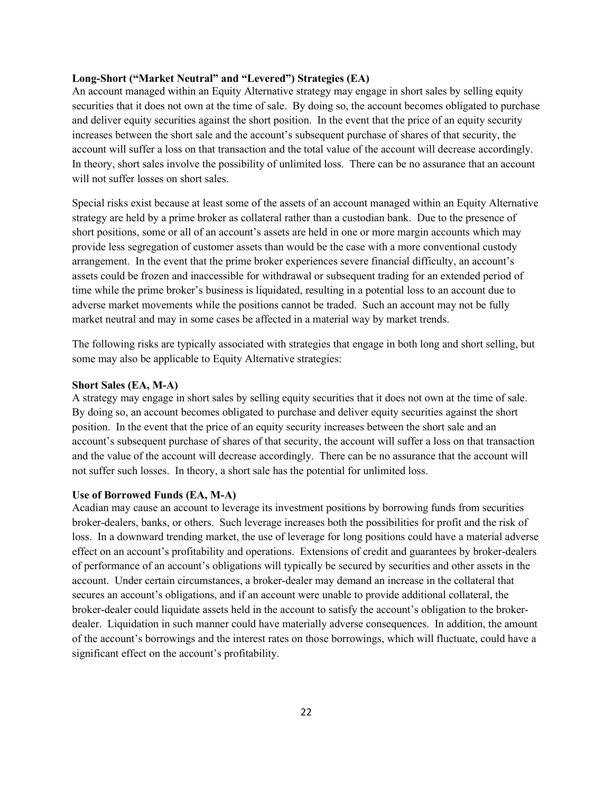### **Long-Short ("Market Neutral" and "Levered") Strategies (EA)**

An account managed within an Equity Alternative strategy may engage in short sales by selling equity securities that it does not own at the time of sale. By doing so, the account becomes obligated to purchase and deliver equity securities against the short position. In the event that the price of an equity security increases between the short sale and the account's subsequent purchase of shares of that security, the account will suffer a loss on that transaction and the total value of the account will decrease accordingly. In theory, short sales involve the possibility of unlimited loss. There can be no assurance that an account will not suffer losses on short sales.

Special risks exist because at least some of the assets of an account managed within an Equity Alternative strategy are held by a prime broker as collateral rather than a custodian bank. Due to the presence of short positions, some or all of an account's assets are held in one or more margin accounts which may provide less segregation of customer assets than would be the case with a more conventional custody arrangement. In the event that the prime broker experiences severe financial difficulty, an account's assets could be frozen and inaccessible for withdrawal or subsequent trading for an extended period of time while the prime broker's business is liquidated, resulting in a potential loss to an account due to adverse market movements while the positions cannot be traded. Such an account may not be fully market neutral and may in some cases be affected in a material way by market trends.

The following risks are typically associated with strategies that engage in both long and short selling, but some may also be applicable to Equity Alternative strategies:

#### **Short Sales (EA, M-A)**

A strategy may engage in short sales by selling equity securities that it does not own at the time of sale. By doing so, an account becomes obligated to purchase and deliver equity securities against the short position. In the event that the price of an equity security increases between the short sale and an account's subsequent purchase of shares of that security, the account will suffer a loss on that transaction and the value of the account will decrease accordingly. There can be no assurance that the account will not suffer such losses. In theory, a short sale has the potential for unlimited loss.

### **Use of Borrowed Funds (EA, M-A)**

Acadian may cause an account to leverage its investment positions by borrowing funds from securities broker-dealers, banks, or others. Such leverage increases both the possibilities for profit and the risk of loss. In a downward trending market, the use of leverage for long positions could have a material adverse effect on an account's profitability and operations. Extensions of credit and guarantees by broker-dealers of performance of an account's obligations will typically be secured by securities and other assets in the account. Under certain circumstances, a broker-dealer may demand an increase in the collateral that secures an account's obligations, and if an account were unable to provide additional collateral, the broker-dealer could liquidate assets held in the account to satisfy the account's obligation to the brokerdealer. Liquidation in such manner could have materially adverse consequences. In addition, the amount of the account's borrowings and the interest rates on those borrowings, which will fluctuate, could have a significant effect on the account's profitability.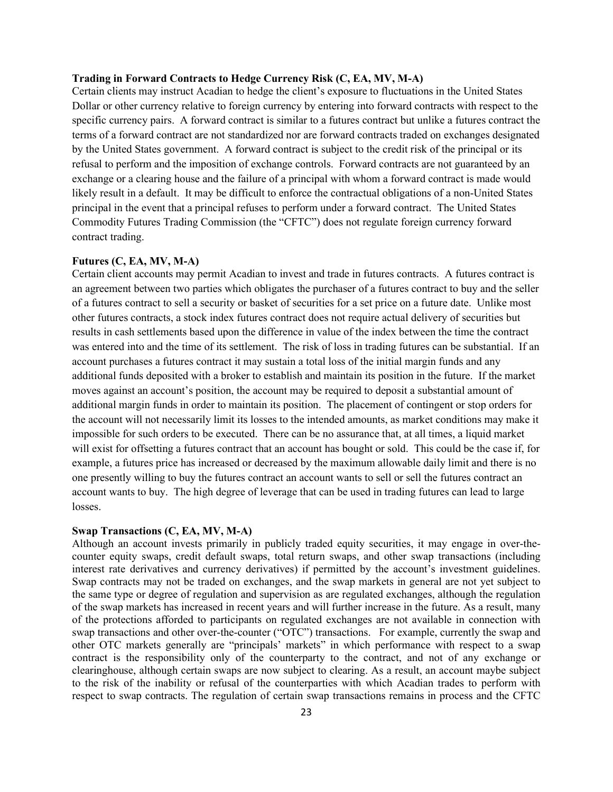### **Trading in Forward Contracts to Hedge Currency Risk (C, EA, MV, M-A)**

Certain clients may instruct Acadian to hedge the client's exposure to fluctuations in the United States Dollar or other currency relative to foreign currency by entering into forward contracts with respect to the specific currency pairs. A forward contract is similar to a futures contract but unlike a futures contract the terms of a forward contract are not standardized nor are forward contracts traded on exchanges designated by the United States government. A forward contract is subject to the credit risk of the principal or its refusal to perform and the imposition of exchange controls. Forward contracts are not guaranteed by an exchange or a clearing house and the failure of a principal with whom a forward contract is made would likely result in a default. It may be difficult to enforce the contractual obligations of a non-United States principal in the event that a principal refuses to perform under a forward contract. The United States Commodity Futures Trading Commission (the "CFTC") does not regulate foreign currency forward contract trading.

#### **Futures (C, EA, MV, M-A)**

Certain client accounts may permit Acadian to invest and trade in futures contracts. A futures contract is an agreement between two parties which obligates the purchaser of a futures contract to buy and the seller of a futures contract to sell a security or basket of securities for a set price on a future date. Unlike most other futures contracts, a stock index futures contract does not require actual delivery of securities but results in cash settlements based upon the difference in value of the index between the time the contract was entered into and the time of its settlement. The risk of loss in trading futures can be substantial. If an account purchases a futures contract it may sustain a total loss of the initial margin funds and any additional funds deposited with a broker to establish and maintain its position in the future. If the market moves against an account's position, the account may be required to deposit a substantial amount of additional margin funds in order to maintain its position. The placement of contingent or stop orders for the account will not necessarily limit its losses to the intended amounts, as market conditions may make it impossible for such orders to be executed. There can be no assurance that, at all times, a liquid market will exist for offsetting a futures contract that an account has bought or sold. This could be the case if, for example, a futures price has increased or decreased by the maximum allowable daily limit and there is no one presently willing to buy the futures contract an account wants to sell or sell the futures contract an account wants to buy. The high degree of leverage that can be used in trading futures can lead to large losses.

#### **Swap Transactions (C, EA, MV, M-A)**

Although an account invests primarily in publicly traded equity securities, it may engage in over-thecounter equity swaps, credit default swaps, total return swaps, and other swap transactions (including interest rate derivatives and currency derivatives) if permitted by the account's investment guidelines. Swap contracts may not be traded on exchanges, and the swap markets in general are not yet subject to the same type or degree of regulation and supervision as are regulated exchanges, although the regulation of the swap markets has increased in recent years and will further increase in the future. As a result, many of the protections afforded to participants on regulated exchanges are not available in connection with swap transactions and other over-the-counter ("OTC") transactions. For example, currently the swap and other OTC markets generally are "principals' markets" in which performance with respect to a swap contract is the responsibility only of the counterparty to the contract, and not of any exchange or clearinghouse, although certain swaps are now subject to clearing. As a result, an account maybe subject to the risk of the inability or refusal of the counterparties with which Acadian trades to perform with respect to swap contracts. The regulation of certain swap transactions remains in process and the CFTC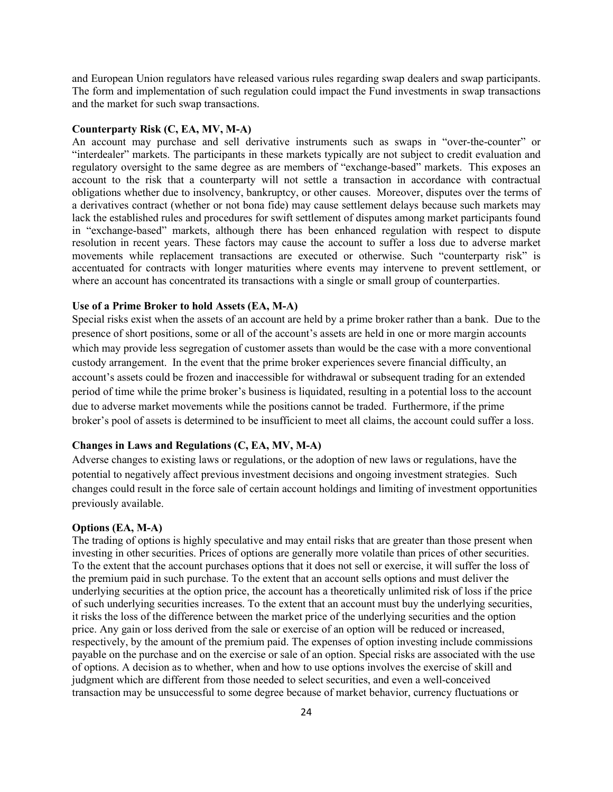and European Union regulators have released various rules regarding swap dealers and swap participants. The form and implementation of such regulation could impact the Fund investments in swap transactions and the market for such swap transactions.

#### **Counterparty Risk (C, EA, MV, M-A)**

An account may purchase and sell derivative instruments such as swaps in "over-the-counter" or "interdealer" markets. The participants in these markets typically are not subject to credit evaluation and regulatory oversight to the same degree as are members of "exchange-based" markets. This exposes an account to the risk that a counterparty will not settle a transaction in accordance with contractual obligations whether due to insolvency, bankruptcy, or other causes. Moreover, disputes over the terms of a derivatives contract (whether or not bona fide) may cause settlement delays because such markets may lack the established rules and procedures for swift settlement of disputes among market participants found in "exchange-based" markets, although there has been enhanced regulation with respect to dispute resolution in recent years. These factors may cause the account to suffer a loss due to adverse market movements while replacement transactions are executed or otherwise. Such "counterparty risk" is accentuated for contracts with longer maturities where events may intervene to prevent settlement, or where an account has concentrated its transactions with a single or small group of counterparties.

#### **Use of a Prime Broker to hold Assets (EA, M-A)**

Special risks exist when the assets of an account are held by a prime broker rather than a bank. Due to the presence of short positions, some or all of the account's assets are held in one or more margin accounts which may provide less segregation of customer assets than would be the case with a more conventional custody arrangement. In the event that the prime broker experiences severe financial difficulty, an account's assets could be frozen and inaccessible for withdrawal or subsequent trading for an extended period of time while the prime broker's business is liquidated, resulting in a potential loss to the account due to adverse market movements while the positions cannot be traded. Furthermore, if the prime broker's pool of assets is determined to be insufficient to meet all claims, the account could suffer a loss.

### **Changes in Laws and Regulations (C, EA, MV, M-A)**

Adverse changes to existing laws or regulations, or the adoption of new laws or regulations, have the potential to negatively affect previous investment decisions and ongoing investment strategies. Such changes could result in the force sale of certain account holdings and limiting of investment opportunities previously available.

#### **Options (EA, M-A)**

The trading of options is highly speculative and may entail risks that are greater than those present when investing in other securities. Prices of options are generally more volatile than prices of other securities. To the extent that the account purchases options that it does not sell or exercise, it will suffer the loss of the premium paid in such purchase. To the extent that an account sells options and must deliver the underlying securities at the option price, the account has a theoretically unlimited risk of loss if the price of such underlying securities increases. To the extent that an account must buy the underlying securities, it risks the loss of the difference between the market price of the underlying securities and the option price. Any gain or loss derived from the sale or exercise of an option will be reduced or increased, respectively, by the amount of the premium paid. The expenses of option investing include commissions payable on the purchase and on the exercise or sale of an option. Special risks are associated with the use of options. A decision as to whether, when and how to use options involves the exercise of skill and judgment which are different from those needed to select securities, and even a well-conceived transaction may be unsuccessful to some degree because of market behavior, currency fluctuations or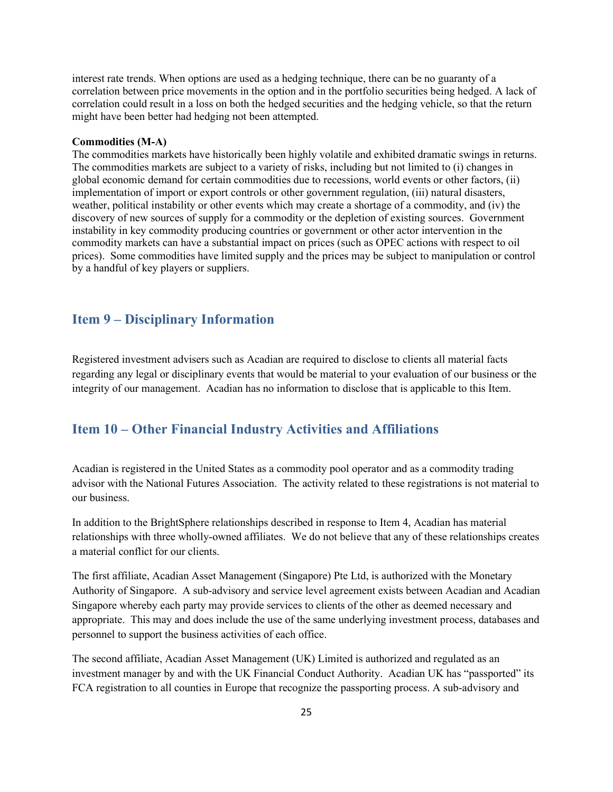interest rate trends. When options are used as a hedging technique, there can be no guaranty of a correlation between price movements in the option and in the portfolio securities being hedged. A lack of correlation could result in a loss on both the hedged securities and the hedging vehicle, so that the return might have been better had hedging not been attempted.

#### **Commodities (M-A)**

The commodities markets have historically been highly volatile and exhibited dramatic swings in returns. The commodities markets are subject to a variety of risks, including but not limited to (i) changes in global economic demand for certain commodities due to recessions, world events or other factors, (ii) implementation of import or export controls or other government regulation, (iii) natural disasters, weather, political instability or other events which may create a shortage of a commodity, and (iv) the discovery of new sources of supply for a commodity or the depletion of existing sources. Government instability in key commodity producing countries or government or other actor intervention in the commodity markets can have a substantial impact on prices (such as OPEC actions with respect to oil prices). Some commodities have limited supply and the prices may be subject to manipulation or control by a handful of key players or suppliers.

## <span id="page-28-0"></span>**Item 9 – Disciplinary Information**

Registered investment advisers such as Acadian are required to disclose to clients all material facts regarding any legal or disciplinary events that would be material to your evaluation of our business or the integrity of our management. Acadian has no information to disclose that is applicable to this Item.

## <span id="page-28-1"></span>**Item 10 – Other Financial Industry Activities and Affiliations**

Acadian is registered in the United States as a commodity pool operator and as a commodity trading advisor with the National Futures Association. The activity related to these registrations is not material to our business.

In addition to the BrightSphere relationships described in response to Item 4, Acadian has material relationships with three wholly-owned affiliates. We do not believe that any of these relationships creates a material conflict for our clients.

The first affiliate, Acadian Asset Management (Singapore) Pte Ltd, is authorized with the Monetary Authority of Singapore. A sub-advisory and service level agreement exists between Acadian and Acadian Singapore whereby each party may provide services to clients of the other as deemed necessary and appropriate. This may and does include the use of the same underlying investment process, databases and personnel to support the business activities of each office.

The second affiliate, Acadian Asset Management (UK) Limited is authorized and regulated as an investment manager by and with the UK Financial Conduct Authority. Acadian UK has "passported" its FCA registration to all counties in Europe that recognize the passporting process. A sub-advisory and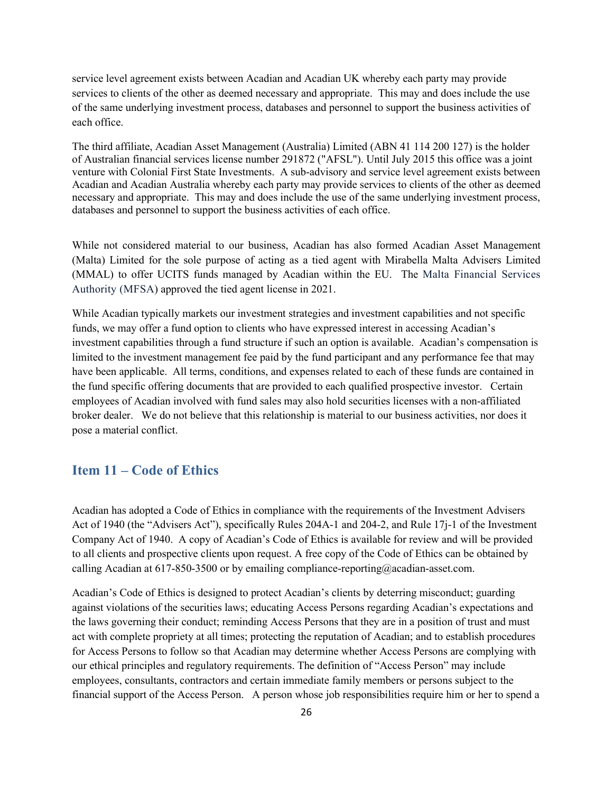service level agreement exists between Acadian and Acadian UK whereby each party may provide services to clients of the other as deemed necessary and appropriate. This may and does include the use of the same underlying investment process, databases and personnel to support the business activities of each office.

The third affiliate, Acadian Asset Management (Australia) Limited (ABN 41 114 200 127) is the holder of Australian financial services license number 291872 ("AFSL"). Until July 2015 this office was a joint venture with Colonial First State Investments. A sub-advisory and service level agreement exists between Acadian and Acadian Australia whereby each party may provide services to clients of the other as deemed necessary and appropriate. This may and does include the use of the same underlying investment process, databases and personnel to support the business activities of each office.

While not considered material to our business, Acadian has also formed Acadian Asset Management (Malta) Limited for the sole purpose of acting as a tied agent with Mirabella Malta Advisers Limited (MMAL) to offer UCITS funds managed by Acadian within the EU. The Malta Financial Services Authority (MFSA) approved the tied agent license in 2021.

While Acadian typically markets our investment strategies and investment capabilities and not specific funds, we may offer a fund option to clients who have expressed interest in accessing Acadian's investment capabilities through a fund structure if such an option is available. Acadian's compensation is limited to the investment management fee paid by the fund participant and any performance fee that may have been applicable. All terms, conditions, and expenses related to each of these funds are contained in the fund specific offering documents that are provided to each qualified prospective investor. Certain employees of Acadian involved with fund sales may also hold securities licenses with a non-affiliated broker dealer. We do not believe that this relationship is material to our business activities, nor does it pose a material conflict.

## <span id="page-29-0"></span>**Item 11 – Code of Ethics**

Acadian has adopted a Code of Ethics in compliance with the requirements of the Investment Advisers Act of 1940 (the "Advisers Act"), specifically Rules 204A-1 and 204-2, and Rule 17j-1 of the Investment Company Act of 1940. A copy of Acadian's Code of Ethics is available for review and will be provided to all clients and prospective clients upon request. A free copy of the Code of Ethics can be obtained by calling Acadian at 617-850-3500 or by emailing compliance-reporting@acadian-asset.com.

Acadian's Code of Ethics is designed to protect Acadian's clients by deterring misconduct; guarding against violations of the securities laws; educating Access Persons regarding Acadian's expectations and the laws governing their conduct; reminding Access Persons that they are in a position of trust and must act with complete propriety at all times; protecting the reputation of Acadian; and to establish procedures for Access Persons to follow so that Acadian may determine whether Access Persons are complying with our ethical principles and regulatory requirements. The definition of "Access Person" may include employees, consultants, contractors and certain immediate family members or persons subject to the financial support of the Access Person. A person whose job responsibilities require him or her to spend a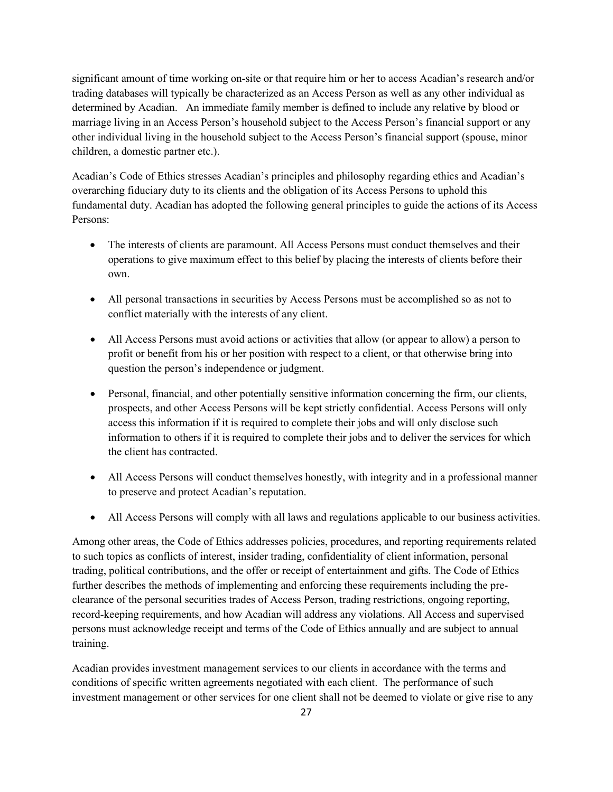significant amount of time working on-site or that require him or her to access Acadian's research and/or trading databases will typically be characterized as an Access Person as well as any other individual as determined by Acadian. An immediate family member is defined to include any relative by blood or marriage living in an Access Person's household subject to the Access Person's financial support or any other individual living in the household subject to the Access Person's financial support (spouse, minor children, a domestic partner etc.).

Acadian's Code of Ethics stresses Acadian's principles and philosophy regarding ethics and Acadian's overarching fiduciary duty to its clients and the obligation of its Access Persons to uphold this fundamental duty. Acadian has adopted the following general principles to guide the actions of its Access Persons:

- The interests of clients are paramount. All Access Persons must conduct themselves and their operations to give maximum effect to this belief by placing the interests of clients before their own.
- All personal transactions in securities by Access Persons must be accomplished so as not to conflict materially with the interests of any client.
- All Access Persons must avoid actions or activities that allow (or appear to allow) a person to profit or benefit from his or her position with respect to a client, or that otherwise bring into question the person's independence or judgment.
- Personal, financial, and other potentially sensitive information concerning the firm, our clients, prospects, and other Access Persons will be kept strictly confidential. Access Persons will only access this information if it is required to complete their jobs and will only disclose such information to others if it is required to complete their jobs and to deliver the services for which the client has contracted.
- All Access Persons will conduct themselves honestly, with integrity and in a professional manner to preserve and protect Acadian's reputation.
- All Access Persons will comply with all laws and regulations applicable to our business activities.

Among other areas, the Code of Ethics addresses policies, procedures, and reporting requirements related to such topics as conflicts of interest, insider trading, confidentiality of client information, personal trading, political contributions, and the offer or receipt of entertainment and gifts. The Code of Ethics further describes the methods of implementing and enforcing these requirements including the preclearance of the personal securities trades of Access Person, trading restrictions, ongoing reporting, record*-*keeping requirements, and how Acadian will address any violations. All Access and supervised persons must acknowledge receipt and terms of the Code of Ethics annually and are subject to annual training.

Acadian provides investment management services to our clients in accordance with the terms and conditions of specific written agreements negotiated with each client. The performance of such investment management or other services for one client shall not be deemed to violate or give rise to any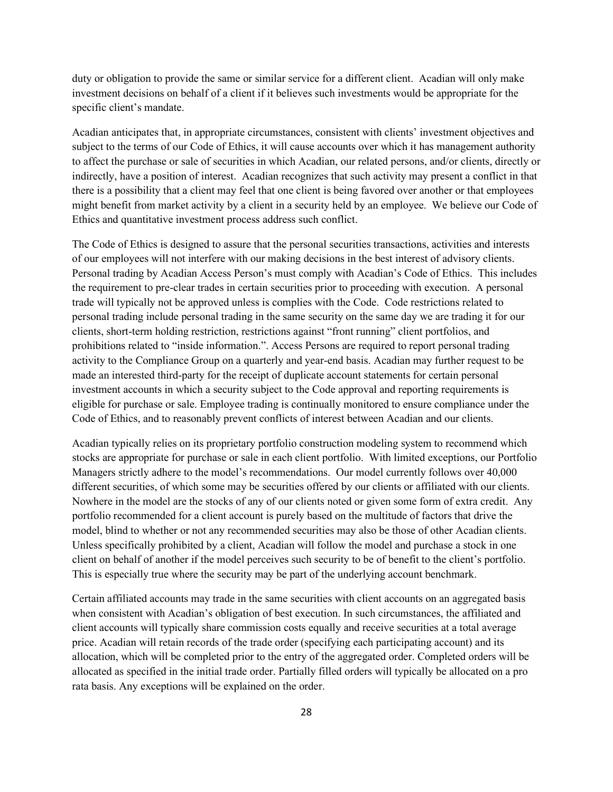duty or obligation to provide the same or similar service for a different client. Acadian will only make investment decisions on behalf of a client if it believes such investments would be appropriate for the specific client's mandate.

Acadian anticipates that, in appropriate circumstances, consistent with clients' investment objectives and subject to the terms of our Code of Ethics, it will cause accounts over which it has management authority to affect the purchase or sale of securities in which Acadian, our related persons, and/or clients, directly or indirectly, have a position of interest. Acadian recognizes that such activity may present a conflict in that there is a possibility that a client may feel that one client is being favored over another or that employees might benefit from market activity by a client in a security held by an employee. We believe our Code of Ethics and quantitative investment process address such conflict.

The Code of Ethics is designed to assure that the personal securities transactions, activities and interests of our employees will not interfere with our making decisions in the best interest of advisory clients. Personal trading by Acadian Access Person's must comply with Acadian's Code of Ethics. This includes the requirement to pre-clear trades in certain securities prior to proceeding with execution. A personal trade will typically not be approved unless is complies with the Code. Code restrictions related to personal trading include personal trading in the same security on the same day we are trading it for our clients, short-term holding restriction, restrictions against "front running" client portfolios, and prohibitions related to "inside information.". Access Persons are required to report personal trading activity to the Compliance Group on a quarterly and year-end basis. Acadian may further request to be made an interested third-party for the receipt of duplicate account statements for certain personal investment accounts in which a security subject to the Code approval and reporting requirements is eligible for purchase or sale. Employee trading is continually monitored to ensure compliance under the Code of Ethics, and to reasonably prevent conflicts of interest between Acadian and our clients.

Acadian typically relies on its proprietary portfolio construction modeling system to recommend which stocks are appropriate for purchase or sale in each client portfolio. With limited exceptions, our Portfolio Managers strictly adhere to the model's recommendations. Our model currently follows over 40,000 different securities, of which some may be securities offered by our clients or affiliated with our clients. Nowhere in the model are the stocks of any of our clients noted or given some form of extra credit. Any portfolio recommended for a client account is purely based on the multitude of factors that drive the model, blind to whether or not any recommended securities may also be those of other Acadian clients. Unless specifically prohibited by a client, Acadian will follow the model and purchase a stock in one client on behalf of another if the model perceives such security to be of benefit to the client's portfolio. This is especially true where the security may be part of the underlying account benchmark.

Certain affiliated accounts may trade in the same securities with client accounts on an aggregated basis when consistent with Acadian's obligation of best execution. In such circumstances, the affiliated and client accounts will typically share commission costs equally and receive securities at a total average price. Acadian will retain records of the trade order (specifying each participating account) and its allocation, which will be completed prior to the entry of the aggregated order. Completed orders will be allocated as specified in the initial trade order. Partially filled orders will typically be allocated on a pro rata basis. Any exceptions will be explained on the order.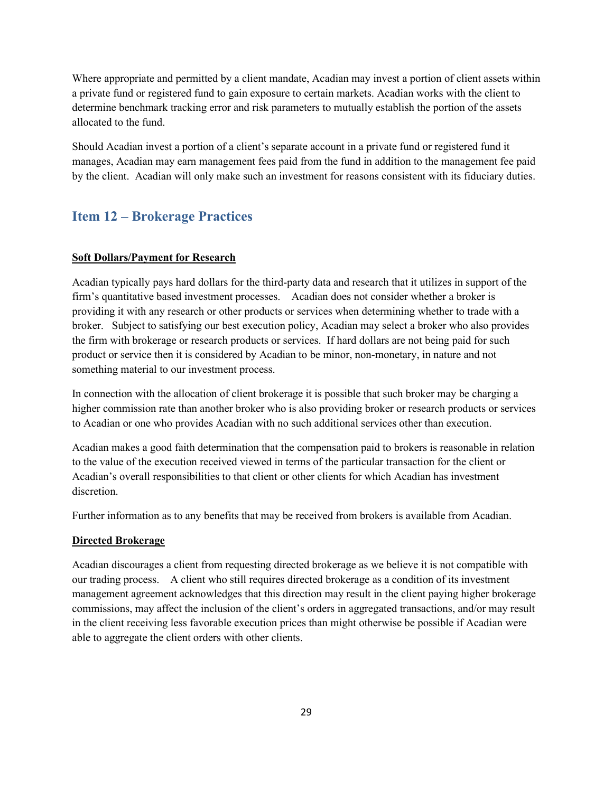Where appropriate and permitted by a client mandate, Acadian may invest a portion of client assets within a private fund or registered fund to gain exposure to certain markets. Acadian works with the client to determine benchmark tracking error and risk parameters to mutually establish the portion of the assets allocated to the fund.

Should Acadian invest a portion of a client's separate account in a private fund or registered fund it manages, Acadian may earn management fees paid from the fund in addition to the management fee paid by the client. Acadian will only make such an investment for reasons consistent with its fiduciary duties.

## <span id="page-32-0"></span>**Item 12 – Brokerage Practices**

### **Soft Dollars/Payment for Research**

Acadian typically pays hard dollars for the third-party data and research that it utilizes in support of the firm's quantitative based investment processes. Acadian does not consider whether a broker is providing it with any research or other products or services when determining whether to trade with a broker. Subject to satisfying our best execution policy, Acadian may select a broker who also provides the firm with brokerage or research products or services. If hard dollars are not being paid for such product or service then it is considered by Acadian to be minor, non-monetary, in nature and not something material to our investment process.

In connection with the allocation of client brokerage it is possible that such broker may be charging a higher commission rate than another broker who is also providing broker or research products or services to Acadian or one who provides Acadian with no such additional services other than execution.

Acadian makes a good faith determination that the compensation paid to brokers is reasonable in relation to the value of the execution received viewed in terms of the particular transaction for the client or Acadian's overall responsibilities to that client or other clients for which Acadian has investment discretion.

Further information as to any benefits that may be received from brokers is available from Acadian.

### **Directed Brokerage**

Acadian discourages a client from requesting directed brokerage as we believe it is not compatible with our trading process. A client who still requires directed brokerage as a condition of its investment management agreement acknowledges that this direction may result in the client paying higher brokerage commissions, may affect the inclusion of the client's orders in aggregated transactions, and/or may result in the client receiving less favorable execution prices than might otherwise be possible if Acadian were able to aggregate the client orders with other clients.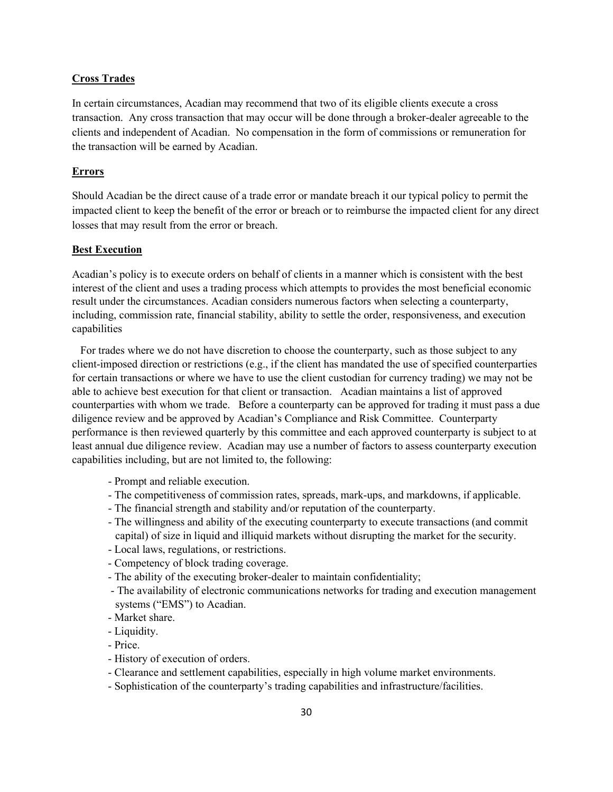### **Cross Trades**

In certain circumstances, Acadian may recommend that two of its eligible clients execute a cross transaction. Any cross transaction that may occur will be done through a broker-dealer agreeable to the clients and independent of Acadian. No compensation in the form of commissions or remuneration for the transaction will be earned by Acadian.

#### **Errors**

Should Acadian be the direct cause of a trade error or mandate breach it our typical policy to permit the impacted client to keep the benefit of the error or breach or to reimburse the impacted client for any direct losses that may result from the error or breach.

#### **Best Execution**

Acadian's policy is to execute orders on behalf of clients in a manner which is consistent with the best interest of the client and uses a trading process which attempts to provides the most beneficial economic result under the circumstances. Acadian considers numerous factors when selecting a counterparty, including, commission rate, financial stability, ability to settle the order, responsiveness, and execution capabilities

 For trades where we do not have discretion to choose the counterparty, such as those subject to any client-imposed direction or restrictions (e.g., if the client has mandated the use of specified counterparties for certain transactions or where we have to use the client custodian for currency trading) we may not be able to achieve best execution for that client or transaction. Acadian maintains a list of approved counterparties with whom we trade. Before a counterparty can be approved for trading it must pass a due diligence review and be approved by Acadian's Compliance and Risk Committee. Counterparty performance is then reviewed quarterly by this committee and each approved counterparty is subject to at least annual due diligence review. Acadian may use a number of factors to assess counterparty execution capabilities including, but are not limited to, the following:

- Prompt and reliable execution.
- The competitiveness of commission rates, spreads, mark-ups, and markdowns, if applicable.
- The financial strength and stability and/or reputation of the counterparty.
- The willingness and ability of the executing counterparty to execute transactions (and commit capital) of size in liquid and illiquid markets without disrupting the market for the security.
- Local laws, regulations, or restrictions.
- Competency of block trading coverage.
- The ability of the executing broker-dealer to maintain confidentiality;
- The availability of electronic communications networks for trading and execution management systems ("EMS") to Acadian.
- Market share.
- Liquidity.
- Price.
- History of execution of orders.
- Clearance and settlement capabilities, especially in high volume market environments.
- Sophistication of the counterparty's trading capabilities and infrastructure/facilities.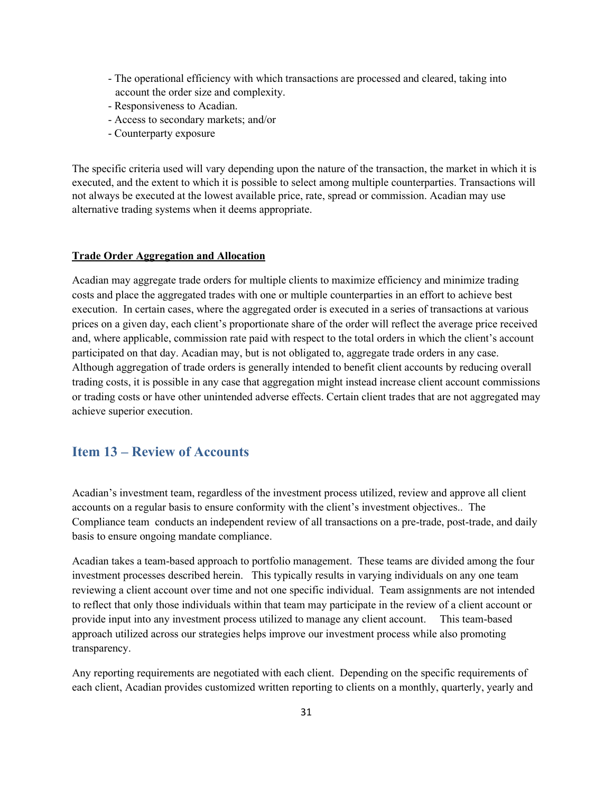- The operational efficiency with which transactions are processed and cleared, taking into account the order size and complexity.
- Responsiveness to Acadian.
- Access to secondary markets; and/or
- Counterparty exposure

The specific criteria used will vary depending upon the nature of the transaction, the market in which it is executed, and the extent to which it is possible to select among multiple counterparties. Transactions will not always be executed at the lowest available price, rate, spread or commission. Acadian may use alternative trading systems when it deems appropriate.

#### **Trade Order Aggregation and Allocation**

Acadian may aggregate trade orders for multiple clients to maximize efficiency and minimize trading costs and place the aggregated trades with one or multiple counterparties in an effort to achieve best execution. In certain cases, where the aggregated order is executed in a series of transactions at various prices on a given day, each client's proportionate share of the order will reflect the average price received and, where applicable, commission rate paid with respect to the total orders in which the client's account participated on that day. Acadian may, but is not obligated to, aggregate trade orders in any case. Although aggregation of trade orders is generally intended to benefit client accounts by reducing overall trading costs, it is possible in any case that aggregation might instead increase client account commissions or trading costs or have other unintended adverse effects. Certain client trades that are not aggregated may achieve superior execution.

## <span id="page-34-0"></span>**Item 13 – Review of Accounts**

Acadian's investment team, regardless of the investment process utilized, review and approve all client accounts on a regular basis to ensure conformity with the client's investment objectives.. The Compliance team conducts an independent review of all transactions on a pre-trade, post-trade, and daily basis to ensure ongoing mandate compliance.

Acadian takes a team-based approach to portfolio management. These teams are divided among the four investment processes described herein. This typically results in varying individuals on any one team reviewing a client account over time and not one specific individual. Team assignments are not intended to reflect that only those individuals within that team may participate in the review of a client account or provide input into any investment process utilized to manage any client account. This team-based approach utilized across our strategies helps improve our investment process while also promoting transparency.

Any reporting requirements are negotiated with each client. Depending on the specific requirements of each client, Acadian provides customized written reporting to clients on a monthly, quarterly, yearly and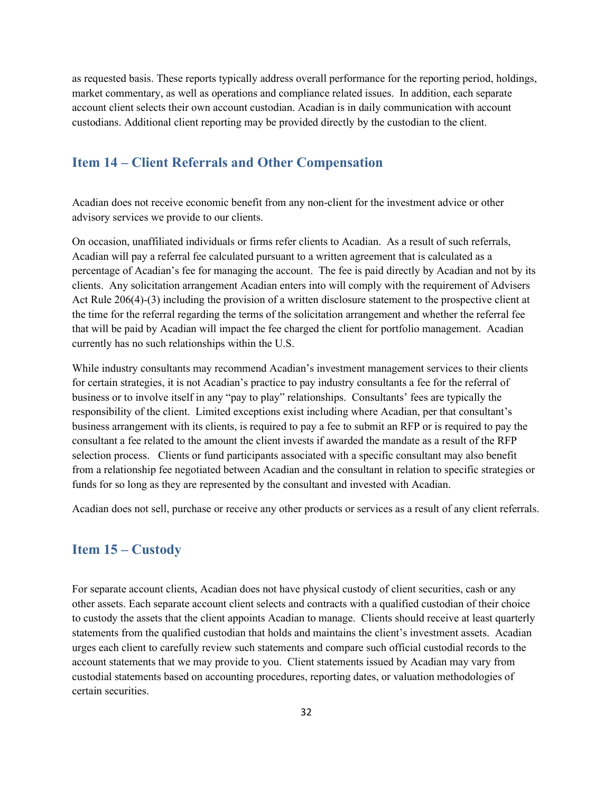as requested basis. These reports typically address overall performance for the reporting period, holdings, market commentary, as well as operations and compliance related issues. In addition, each separate account client selects their own account custodian. Acadian is in daily communication with account custodians. Additional client reporting may be provided directly by the custodian to the client.

## <span id="page-35-0"></span>**Item 14 – Client Referrals and Other Compensation**

Acadian does not receive economic benefit from any non-client for the investment advice or other advisory services we provide to our clients.

On occasion, unaffiliated individuals or firms refer clients to Acadian. As a result of such referrals, Acadian will pay a referral fee calculated pursuant to a written agreement that is calculated as a percentage of Acadian's fee for managing the account. The fee is paid directly by Acadian and not by its clients. Any solicitation arrangement Acadian enters into will comply with the requirement of Advisers Act Rule 206(4)-(3) including the provision of a written disclosure statement to the prospective client at the time for the referral regarding the terms of the solicitation arrangement and whether the referral fee that will be paid by Acadian will impact the fee charged the client for portfolio management. Acadian currently has no such relationships within the U.S.

While industry consultants may recommend Acadian's investment management services to their clients for certain strategies, it is not Acadian's practice to pay industry consultants a fee for the referral of business or to involve itself in any "pay to play" relationships. Consultants' fees are typically the responsibility of the client. Limited exceptions exist including where Acadian, per that consultant's business arrangement with its clients, is required to pay a fee to submit an RFP or is required to pay the consultant a fee related to the amount the client invests if awarded the mandate as a result of the RFP selection process. Clients or fund participants associated with a specific consultant may also benefit from a relationship fee negotiated between Acadian and the consultant in relation to specific strategies or funds for so long as they are represented by the consultant and invested with Acadian.

Acadian does not sell, purchase or receive any other products or services as a result of any client referrals.

## <span id="page-35-1"></span>**Item 15 – Custody**

For separate account clients, Acadian does not have physical custody of client securities, cash or any other assets. Each separate account client selects and contracts with a qualified custodian of their choice to custody the assets that the client appoints Acadian to manage. Clients should receive at least quarterly statements from the qualified custodian that holds and maintains the client's investment assets. Acadian urges each client to carefully review such statements and compare such official custodial records to the account statements that we may provide to you. Client statements issued by Acadian may vary from custodial statements based on accounting procedures, reporting dates, or valuation methodologies of certain securities.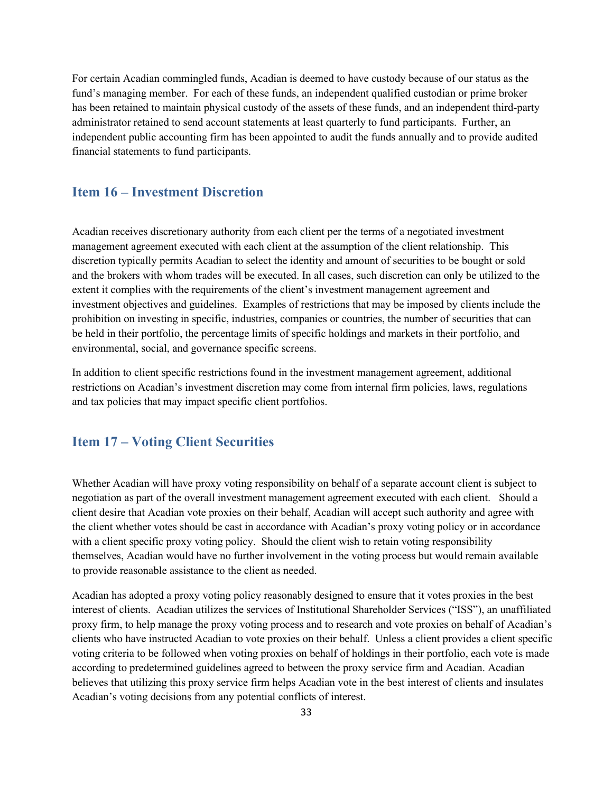For certain Acadian commingled funds, Acadian is deemed to have custody because of our status as the fund's managing member. For each of these funds, an independent qualified custodian or prime broker has been retained to maintain physical custody of the assets of these funds, and an independent third-party administrator retained to send account statements at least quarterly to fund participants. Further, an independent public accounting firm has been appointed to audit the funds annually and to provide audited financial statements to fund participants.

## <span id="page-36-0"></span>**Item 16 – Investment Discretion**

Acadian receives discretionary authority from each client per the terms of a negotiated investment management agreement executed with each client at the assumption of the client relationship. This discretion typically permits Acadian to select the identity and amount of securities to be bought or sold and the brokers with whom trades will be executed. In all cases, such discretion can only be utilized to the extent it complies with the requirements of the client's investment management agreement and investment objectives and guidelines. Examples of restrictions that may be imposed by clients include the prohibition on investing in specific, industries, companies or countries, the number of securities that can be held in their portfolio, the percentage limits of specific holdings and markets in their portfolio, and environmental, social, and governance specific screens.

In addition to client specific restrictions found in the investment management agreement, additional restrictions on Acadian's investment discretion may come from internal firm policies, laws, regulations and tax policies that may impact specific client portfolios.

## <span id="page-36-1"></span>**Item 17 – Voting Client Securities**

Whether Acadian will have proxy voting responsibility on behalf of a separate account client is subject to negotiation as part of the overall investment management agreement executed with each client. Should a client desire that Acadian vote proxies on their behalf, Acadian will accept such authority and agree with the client whether votes should be cast in accordance with Acadian's proxy voting policy or in accordance with a client specific proxy voting policy. Should the client wish to retain voting responsibility themselves, Acadian would have no further involvement in the voting process but would remain available to provide reasonable assistance to the client as needed.

Acadian has adopted a proxy voting policy reasonably designed to ensure that it votes proxies in the best interest of clients. Acadian utilizes the services of Institutional Shareholder Services ("ISS"), an unaffiliated proxy firm, to help manage the proxy voting process and to research and vote proxies on behalf of Acadian's clients who have instructed Acadian to vote proxies on their behalf. Unless a client provides a client specific voting criteria to be followed when voting proxies on behalf of holdings in their portfolio, each vote is made according to predetermined guidelines agreed to between the proxy service firm and Acadian. Acadian believes that utilizing this proxy service firm helps Acadian vote in the best interest of clients and insulates Acadian's voting decisions from any potential conflicts of interest.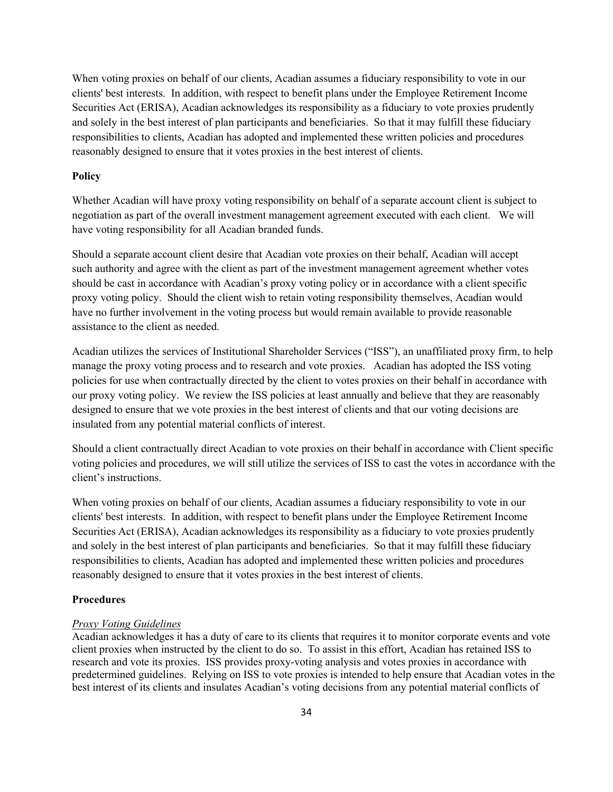When voting proxies on behalf of our clients, Acadian assumes a fiduciary responsibility to vote in our clients' best interests. In addition, with respect to benefit plans under the Employee Retirement Income Securities Act (ERISA), Acadian acknowledges its responsibility as a fiduciary to vote proxies prudently and solely in the best interest of plan participants and beneficiaries. So that it may fulfill these fiduciary responsibilities to clients, Acadian has adopted and implemented these written policies and procedures reasonably designed to ensure that it votes proxies in the best interest of clients.

#### **Policy**

Whether Acadian will have proxy voting responsibility on behalf of a separate account client is subject to negotiation as part of the overall investment management agreement executed with each client. We will have voting responsibility for all Acadian branded funds.

Should a separate account client desire that Acadian vote proxies on their behalf, Acadian will accept such authority and agree with the client as part of the investment management agreement whether votes should be cast in accordance with Acadian's proxy voting policy or in accordance with a client specific proxy voting policy. Should the client wish to retain voting responsibility themselves, Acadian would have no further involvement in the voting process but would remain available to provide reasonable assistance to the client as needed.

Acadian utilizes the services of Institutional Shareholder Services ("ISS"), an unaffiliated proxy firm, to help manage the proxy voting process and to research and vote proxies. Acadian has adopted the ISS voting policies for use when contractually directed by the client to votes proxies on their behalf in accordance with our proxy voting policy. We review the ISS policies at least annually and believe that they are reasonably designed to ensure that we vote proxies in the best interest of clients and that our voting decisions are insulated from any potential material conflicts of interest.

Should a client contractually direct Acadian to vote proxies on their behalf in accordance with Client specific voting policies and procedures, we will still utilize the services of ISS to cast the votes in accordance with the client's instructions.

When voting proxies on behalf of our clients, Acadian assumes a fiduciary responsibility to vote in our clients' best interests. In addition, with respect to benefit plans under the Employee Retirement Income Securities Act (ERISA), Acadian acknowledges its responsibility as a fiduciary to vote proxies prudently and solely in the best interest of plan participants and beneficiaries. So that it may fulfill these fiduciary responsibilities to clients, Acadian has adopted and implemented these written policies and procedures reasonably designed to ensure that it votes proxies in the best interest of clients.

### **Procedures**

#### *Proxy Voting Guidelines*

Acadian acknowledges it has a duty of care to its clients that requires it to monitor corporate events and vote client proxies when instructed by the client to do so. To assist in this effort, Acadian has retained ISS to research and vote its proxies. ISS provides proxy-voting analysis and votes proxies in accordance with predetermined guidelines. Relying on ISS to vote proxies is intended to help ensure that Acadian votes in the best interest of its clients and insulates Acadian's voting decisions from any potential material conflicts of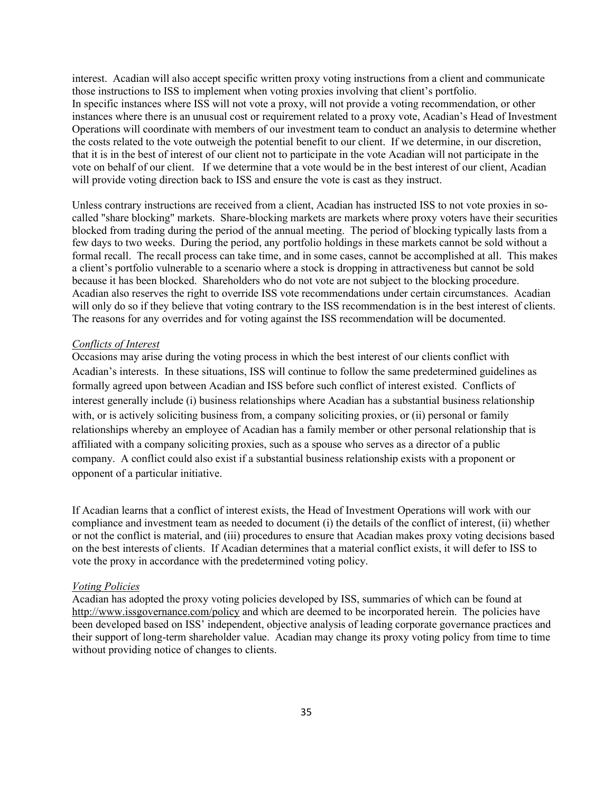interest. Acadian will also accept specific written proxy voting instructions from a client and communicate those instructions to ISS to implement when voting proxies involving that client's portfolio. In specific instances where ISS will not vote a proxy, will not provide a voting recommendation, or other instances where there is an unusual cost or requirement related to a proxy vote, Acadian's Head of Investment Operations will coordinate with members of our investment team to conduct an analysis to determine whether the costs related to the vote outweigh the potential benefit to our client. If we determine, in our discretion, that it is in the best of interest of our client not to participate in the vote Acadian will not participate in the vote on behalf of our client. If we determine that a vote would be in the best interest of our client, Acadian will provide voting direction back to ISS and ensure the vote is cast as they instruct.

Unless contrary instructions are received from a client, Acadian has instructed ISS to not vote proxies in socalled "share blocking" markets. Share-blocking markets are markets where proxy voters have their securities blocked from trading during the period of the annual meeting. The period of blocking typically lasts from a few days to two weeks. During the period, any portfolio holdings in these markets cannot be sold without a formal recall. The recall process can take time, and in some cases, cannot be accomplished at all. This makes a client's portfolio vulnerable to a scenario where a stock is dropping in attractiveness but cannot be sold because it has been blocked. Shareholders who do not vote are not subject to the blocking procedure. Acadian also reserves the right to override ISS vote recommendations under certain circumstances. Acadian will only do so if they believe that voting contrary to the ISS recommendation is in the best interest of clients. The reasons for any overrides and for voting against the ISS recommendation will be documented.

#### *Conflicts of Interest*

Occasions may arise during the voting process in which the best interest of our clients conflict with Acadian's interests. In these situations, ISS will continue to follow the same predetermined guidelines as formally agreed upon between Acadian and ISS before such conflict of interest existed. Conflicts of interest generally include (i) business relationships where Acadian has a substantial business relationship with, or is actively soliciting business from, a company soliciting proxies, or (ii) personal or family relationships whereby an employee of Acadian has a family member or other personal relationship that is affiliated with a company soliciting proxies, such as a spouse who serves as a director of a public company. A conflict could also exist if a substantial business relationship exists with a proponent or opponent of a particular initiative.

If Acadian learns that a conflict of interest exists, the Head of Investment Operations will work with our compliance and investment team as needed to document (i) the details of the conflict of interest, (ii) whether or not the conflict is material, and (iii) procedures to ensure that Acadian makes proxy voting decisions based on the best interests of clients. If Acadian determines that a material conflict exists, it will defer to ISS to vote the proxy in accordance with the predetermined voting policy.

#### *Voting Policies*

Acadian has adopted the proxy voting policies developed by ISS, summaries of which can be found at http://www.issgovernance.com/policy and which are deemed to be incorporated herein. The policies have been developed based on ISS' independent, objective analysis of leading corporate governance practices and their support of long-term shareholder value. Acadian may change its proxy voting policy from time to time without providing notice of changes to clients.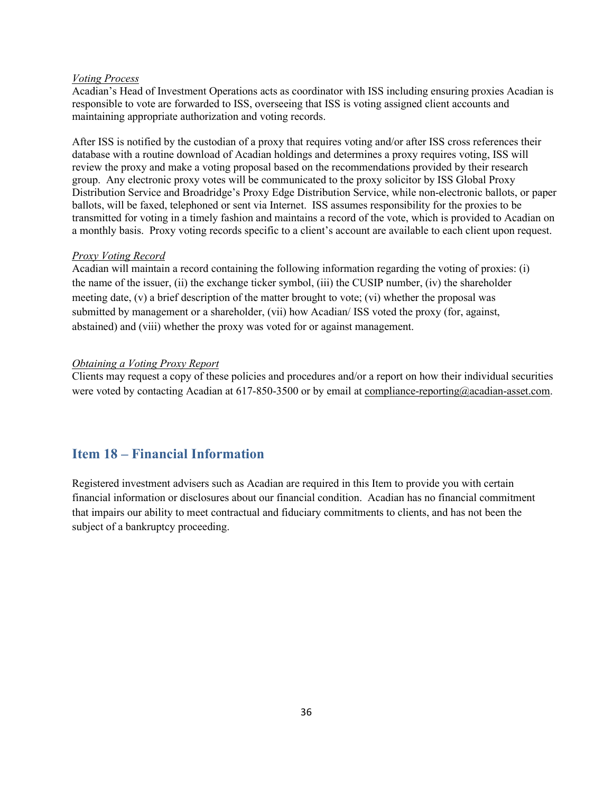### *Voting Process*

Acadian's Head of Investment Operations acts as coordinator with ISS including ensuring proxies Acadian is responsible to vote are forwarded to ISS, overseeing that ISS is voting assigned client accounts and maintaining appropriate authorization and voting records.

After ISS is notified by the custodian of a proxy that requires voting and/or after ISS cross references their database with a routine download of Acadian holdings and determines a proxy requires voting, ISS will review the proxy and make a voting proposal based on the recommendations provided by their research group. Any electronic proxy votes will be communicated to the proxy solicitor by ISS Global Proxy Distribution Service and Broadridge's Proxy Edge Distribution Service, while non-electronic ballots, or paper ballots, will be faxed, telephoned or sent via Internet. ISS assumes responsibility for the proxies to be transmitted for voting in a timely fashion and maintains a record of the vote, which is provided to Acadian on a monthly basis. Proxy voting records specific to a client's account are available to each client upon request.

#### *Proxy Voting Record*

Acadian will maintain a record containing the following information regarding the voting of proxies: (i) the name of the issuer, (ii) the exchange ticker symbol, (iii) the CUSIP number, (iv) the shareholder meeting date, (v) a brief description of the matter brought to vote; (vi) whether the proposal was submitted by management or a shareholder, (vii) how Acadian/ ISS voted the proxy (for, against, abstained) and (viii) whether the proxy was voted for or against management.

### *Obtaining a Voting Proxy Report*

Clients may request a copy of these policies and procedures and/or a report on how their individual securities were voted by contacting Acadian at 617-850-3500 or by email at [compliance-reporting@acadian-asset.com.](mailto:compliance-reporting@acadian-asset.com)

## <span id="page-39-0"></span>**Item 18 – Financial Information**

Registered investment advisers such as Acadian are required in this Item to provide you with certain financial information or disclosures about our financial condition. Acadian has no financial commitment that impairs our ability to meet contractual and fiduciary commitments to clients, and has not been the subject of a bankruptcy proceeding.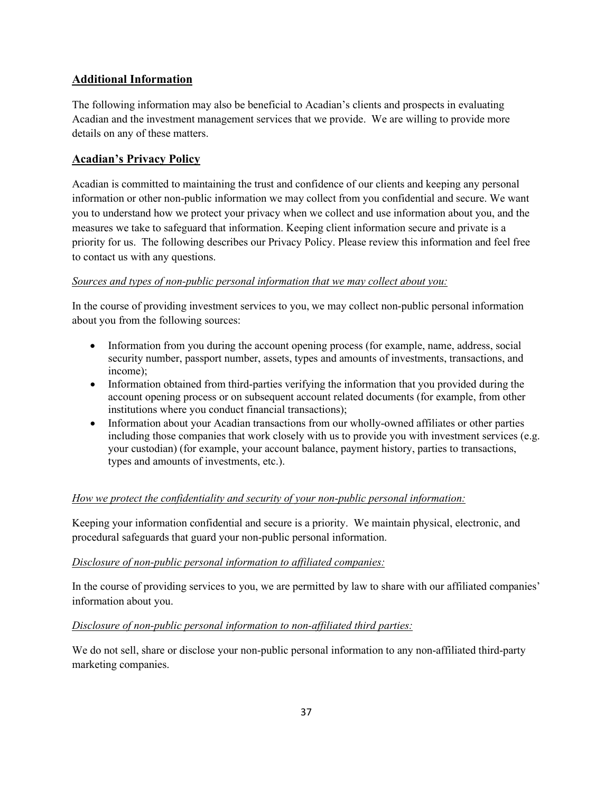## **Additional Information**

The following information may also be beneficial to Acadian's clients and prospects in evaluating Acadian and the investment management services that we provide. We are willing to provide more details on any of these matters.

## **Acadian's Privacy Policy**

Acadian is committed to maintaining the trust and confidence of our clients and keeping any personal information or other non-public information we may collect from you confidential and secure. We want you to understand how we protect your privacy when we collect and use information about you, and the measures we take to safeguard that information. Keeping client information secure and private is a priority for us. The following describes our Privacy Policy. Please review this information and feel free to contact us with any questions.

## *Sources and types of non-public personal information that we may collect about you:*

In the course of providing investment services to you, we may collect non-public personal information about you from the following sources:

- Information from you during the account opening process (for example, name, address, social security number, passport number, assets, types and amounts of investments, transactions, and income);
- Information obtained from third-parties verifying the information that you provided during the account opening process or on subsequent account related documents (for example, from other institutions where you conduct financial transactions);
- Information about your Acadian transactions from our wholly-owned affiliates or other parties including those companies that work closely with us to provide you with investment services (e.g. your custodian) (for example, your account balance, payment history, parties to transactions, types and amounts of investments, etc.).

## *How we protect the confidentiality and security of your non-public personal information:*

Keeping your information confidential and secure is a priority. We maintain physical, electronic, and procedural safeguards that guard your non-public personal information.

### *Disclosure of non-public personal information to affiliated companies:*

In the course of providing services to you, we are permitted by law to share with our affiliated companies' information about you.

### *Disclosure of non-public personal information to non-affiliated third parties:*

We do not sell, share or disclose your non-public personal information to any non-affiliated third-party marketing companies.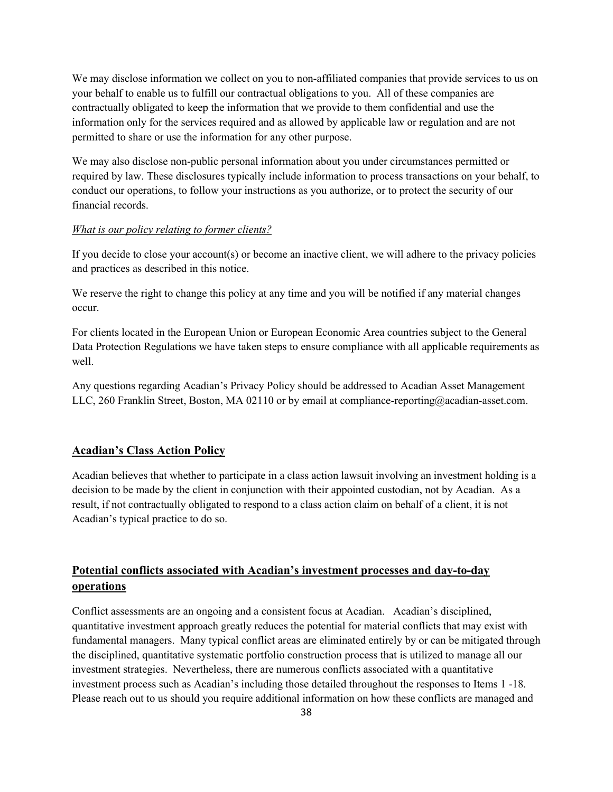We may disclose information we collect on you to non-affiliated companies that provide services to us on your behalf to enable us to fulfill our contractual obligations to you. All of these companies are contractually obligated to keep the information that we provide to them confidential and use the information only for the services required and as allowed by applicable law or regulation and are not permitted to share or use the information for any other purpose.

We may also disclose non-public personal information about you under circumstances permitted or required by law. These disclosures typically include information to process transactions on your behalf, to conduct our operations, to follow your instructions as you authorize, or to protect the security of our financial records.

#### *What is our policy relating to former clients?*

If you decide to close your account(s) or become an inactive client, we will adhere to the privacy policies and practices as described in this notice.

We reserve the right to change this policy at any time and you will be notified if any material changes occur.

For clients located in the European Union or European Economic Area countries subject to the General Data Protection Regulations we have taken steps to ensure compliance with all applicable requirements as well.

Any questions regarding Acadian's Privacy Policy should be addressed to Acadian Asset Management LLC, 260 Franklin Street, Boston, MA 02110 or by email at compliance-reporting@acadian-asset.com.

### **Acadian's Class Action Policy**

Acadian believes that whether to participate in a class action lawsuit involving an investment holding is a decision to be made by the client in conjunction with their appointed custodian, not by Acadian. As a result, if not contractually obligated to respond to a class action claim on behalf of a client, it is not Acadian's typical practice to do so.

## **Potential conflicts associated with Acadian's investment processes and day-to-day operations**

Conflict assessments are an ongoing and a consistent focus at Acadian. Acadian's disciplined, quantitative investment approach greatly reduces the potential for material conflicts that may exist with fundamental managers. Many typical conflict areas are eliminated entirely by or can be mitigated through the disciplined, quantitative systematic portfolio construction process that is utilized to manage all our investment strategies. Nevertheless, there are numerous conflicts associated with a quantitative investment process such as Acadian's including those detailed throughout the responses to Items 1 -18. Please reach out to us should you require additional information on how these conflicts are managed and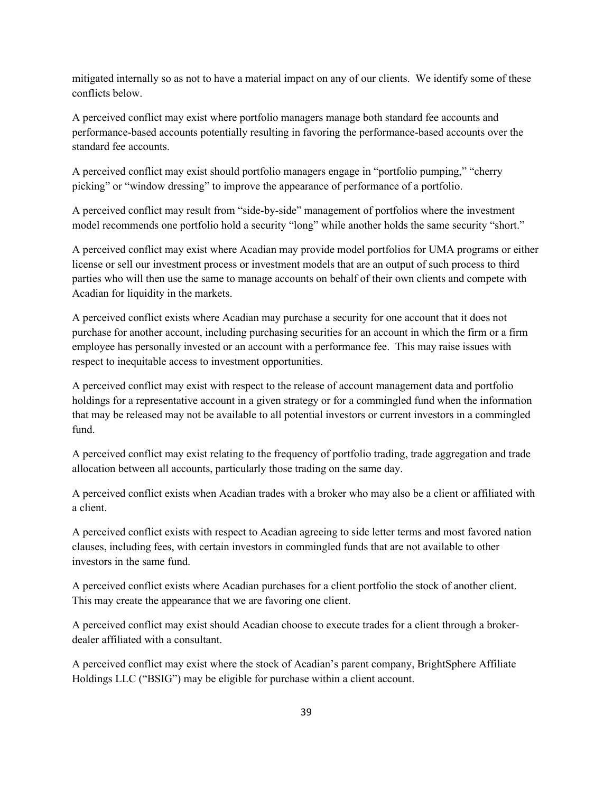mitigated internally so as not to have a material impact on any of our clients. We identify some of these conflicts below.

A perceived conflict may exist where portfolio managers manage both standard fee accounts and performance-based accounts potentially resulting in favoring the performance-based accounts over the standard fee accounts.

A perceived conflict may exist should portfolio managers engage in "portfolio pumping," "cherry picking" or "window dressing" to improve the appearance of performance of a portfolio.

A perceived conflict may result from "side-by-side" management of portfolios where the investment model recommends one portfolio hold a security "long" while another holds the same security "short."

A perceived conflict may exist where Acadian may provide model portfolios for UMA programs or either license or sell our investment process or investment models that are an output of such process to third parties who will then use the same to manage accounts on behalf of their own clients and compete with Acadian for liquidity in the markets.

A perceived conflict exists where Acadian may purchase a security for one account that it does not purchase for another account, including purchasing securities for an account in which the firm or a firm employee has personally invested or an account with a performance fee. This may raise issues with respect to inequitable access to investment opportunities.

A perceived conflict may exist with respect to the release of account management data and portfolio holdings for a representative account in a given strategy or for a commingled fund when the information that may be released may not be available to all potential investors or current investors in a commingled fund.

A perceived conflict may exist relating to the frequency of portfolio trading, trade aggregation and trade allocation between all accounts, particularly those trading on the same day.

A perceived conflict exists when Acadian trades with a broker who may also be a client or affiliated with a client.

A perceived conflict exists with respect to Acadian agreeing to side letter terms and most favored nation clauses, including fees, with certain investors in commingled funds that are not available to other investors in the same fund.

A perceived conflict exists where Acadian purchases for a client portfolio the stock of another client. This may create the appearance that we are favoring one client.

A perceived conflict may exist should Acadian choose to execute trades for a client through a brokerdealer affiliated with a consultant.

A perceived conflict may exist where the stock of Acadian's parent company, BrightSphere Affiliate Holdings LLC ("BSIG") may be eligible for purchase within a client account.